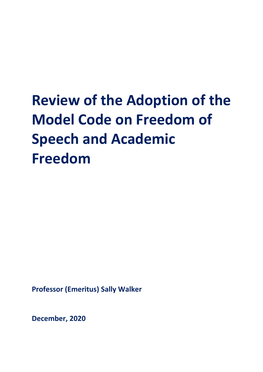# **Review of the Adoption of the Model Code on Freedom of Speech and Academic Freedom**

**Professor (Emeritus) Sally Walker**

**December, 2020**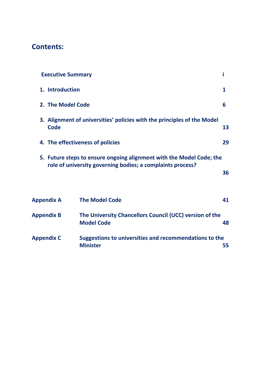# **Contents:**

| <b>Executive Summary</b>                                                        |                                                                                                                                    | i  |
|---------------------------------------------------------------------------------|------------------------------------------------------------------------------------------------------------------------------------|----|
| 1. Introduction                                                                 |                                                                                                                                    |    |
| 2. The Model Code<br>6                                                          |                                                                                                                                    |    |
| 3. Alignment of universities' policies with the principles of the Model<br>Code |                                                                                                                                    |    |
|                                                                                 | 4. The effectiveness of policies                                                                                                   | 29 |
|                                                                                 | 5. Future steps to ensure ongoing alignment with the Model Code; the<br>role of university governing bodies; a complaints process? | 36 |
| <b>Appendix A</b>                                                               | <b>The Model Code</b>                                                                                                              | 41 |
| <b>Appendix B</b>                                                               | The University Chancellors Council (UCC) version of the<br><b>Model Code</b>                                                       | 48 |
| <b>Appendix C</b>                                                               | Suggestions to universities and recommendations to the<br><b>Minister</b>                                                          | 55 |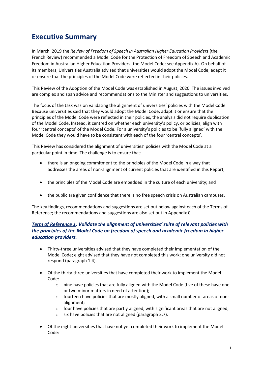# **Executive Summary**

In March, 2019 the *Review of Freedom of Speech in Australian Higher Education Providers* (the French Review) recommended a Model Code for the Protection of Freedom of Speech and Academic Freedom in Australian Higher Education Providers (the Model Code; see Appendix A). On behalf of its members, Universities Australia advised that universities would adopt the Model Code, adapt it or ensure that the principles of the Model Code were reflected in their policies.

This Review of the Adoption of the Model Code was established in August, 2020. The issues involved are complex and span advice and recommendations to the Minister and suggestions to universities.

The focus of the task was on validating the alignment of universities' policies with the Model Code. Because universities said that they would adopt the Model Code, adapt it or ensure that the principles of the Model Code were reflected in their policies, the analysis did not require duplication of the Model Code. Instead, it centred on whether each university's policy, or policies, align with four 'central concepts' of the Model Code. For a university's policies to be 'fully aligned' with the Model Code they would have to be consistent with each of the four 'central concepts'.

This Review has considered the alignment of universities' policies with the Model Code at a particular point in time. The challenge is to ensure that:

- there is an ongoing commitment to the principles of the Model Code in a way that addresses the areas of non-alignment of current policies that are identified in this Report;
- the principles of the Model Code are embedded in the culture of each university; and
- the public are given confidence that there is no free speech crisis on Australian campuses.

The key findings, recommendations and suggestions are set out below against each of the Terms of Reference; the recommendations and suggestions are also set out in Appendix C.

#### *Term of Reference 1. Validate the alignment of universities' suite of relevant policies with the principles of the Model Code on freedom of speech and academic freedom in higher education providers.*

- Thirty-three universities advised that they have completed their implementation of the Model Code; eight advised that they have not completed this work; one university did not respond (paragraph 1.4).
- Of the thirty-three universities that have completed their work to implement the Model Code:
	- $\circ$  nine have policies that are fully aligned with the Model Code (five of these have one or two minor matters in need of attention);
	- o fourteen have policies that are mostly aligned, with a small number of areas of nonalignment;
	- $\circ$  four have policies that are partly aligned, with significant areas that are not aligned;
	- o six have policies that are not aligned (paragraph 3.7).
- Of the eight universities that have not yet completed their work to implement the Model Code: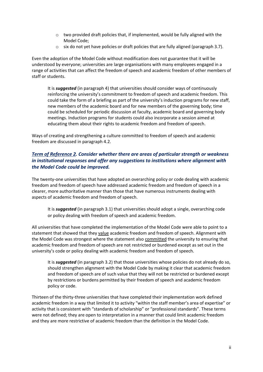- $\circ$  two provided draft policies that, if implemented, would be fully aligned with the Model Code;
- $\circ$  six do not yet have policies or draft policies that are fully aligned (paragraph 3.7).

Even the adoption of the Model Code without modification does not guarantee that it will be understood by everyone; universities are large organisations with many employees engaged in a range of activities that can affect the freedom of speech and academic freedom of other members of staff or students.

It is *suggested* (in paragraph 4) that universities should consider ways of continuously reinforcing the university's commitment to freedom of speech and academic freedom. This could take the form of a briefing as part of the university's induction programs for new staff, new members of the academic board and for new members of the governing body; time could be scheduled for periodic discussion at faculty, academic board and governing body meetings. Induction programs for students could also incorporate a session aimed at educating them about their rights to academic freedom and freedom of speech.

Ways of creating and strengthening a culture committed to freedom of speech and academic freedom are discussed in paragraph 4.2.

#### *Term of Reference 2. Consider whether there are areas of particular strength or weakness in institutional responses and offer any suggestions to institutions where alignment with the Model Code could be improved.*

The twenty-one universities that have adopted an overarching policy or code dealing with academic freedom and freedom of speech have addressed academic freedom and freedom of speech in a clearer, more authoritative manner than those that have numerous instruments dealing with aspects of academic freedom and freedom of speech.

It is *suggested* (in paragraph 3.1) that universities should adopt a single, overarching code or policy dealing with freedom of speech and academic freedom.

All universities that have completed the implementation of the Model Code were able to point to a statement that showed that they value academic freedom and freedom of speech. Alignment with the Model Code was strongest where the statement also committed the university to ensuring that academic freedom and freedom of speech are not restricted or burdened except as set out in the university's code or policy dealing with academic freedom and freedom of speech.

It is *suggested* (in paragraph 3.2) that those universities whose policies do not already do so, should strengthen alignment with the Model Code by making it clear that academic freedom and freedom of speech are of such value that they will not be restricted or burdened except by restrictions or burdens permitted by their freedom of speech and academic freedom policy or code.

Thirteen of the thirty-three universities that have completed their implementation work defined academic freedom in a way that limited it to activity "within the staff member's area of expertise" or activity that is consistent with "standards of scholarship" or "professional standards". These terms were not defined; they are open to interpretation in a manner that could limit academic freedom and they are more restrictive of academic freedom than the definition in the Model Code.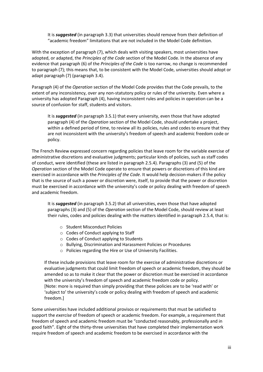It is *suggested* (in paragraph 3.3) that universities should remove from their definition of "academic freedom" limitations that are not included in the Model Code definition.

With the exception of paragraph (7), which deals with visiting speakers, most universities have adopted, or adapted, the *Principles of the Code* section of the Model Code. In the absence of any evidence that paragraph (6) of the *Principles of the Code* is too narrow, no change is recommended to paragraph (7); this means that, to be consistent with the Model Code, universities should adopt or adapt paragraph (7) (paragraph 3.4).

Paragraph (4) of the *Operation* section of the Model Code provides that the Code prevails, to the extent of any inconsistency, over any non-statutory policy or rules of the university. Even where a university has adopted Paragraph (4), having inconsistent rules and policies in operation can be a source of confusion for staff, students and visitors.

It is *suggested* (in paragraph 3.5.1) that every university, even those that have adopted paragraph (4) of the *Operation* section of the Model Code, should undertake a project, within a defined period of time, to review all its policies, rules and codes to ensure that they are not inconsistent with the university's freedom of speech and academic freedom code or policy.

The French Review expressed concern regarding policies that leave room for the variable exercise of administrative discretions and evaluative judgments; particular kinds of policies, such as staff codes of conduct, were identified (these are listed in paragraph 2.5.4). Paragraphs (3) and (5) of the *Operation* section of the Model Code operate to ensure that powers or discretions of this kind are exercised in accordance with the *Principles of the Code*. It would help decision-makers if the policy that is the source of such a power or discretion were, itself, to provide that the power or discretion must be exercised in accordance with the university's code or policy dealing with freedom of speech and academic freedom.

It is *suggested* (in paragraph 3.5.2) that all universities, even those that have adopted paragraphs (3) and (5) of the *Operation* section of the Model Code, should review at least their rules, codes and policies dealing with the matters identified in paragraph 2.5.4, that is:

- o Student Misconduct Policies
- o Codes of Conduct applying to Staff
- o Codes of Conduct applying to Students
- o Bullying, Discrimination and Harassment Policies or Procedures
- o Policies regarding the Hire or Use of University Facilities.

If these include provisions that leave room for the exercise of administrative discretions or evaluative judgments that could limit freedom of speech or academic freedom, they should be amended so as to make it clear that the power or discretion must be exercised in accordance with the university's freedom of speech and academic freedom code or policy. [Note: more is required than simply providing that these policies are to be 'read with' or 'subject to' the university's code or policy dealing with freedom of speech and academic freedom.]

Some universities have included additional provisos or requirements that must be satisfied to support the *exercise* of freedom of speech or academic freedom. For example, a requirement that freedom of speech and academic freedom must be "conducted reasonably, professionally and in good faith". Eight of the thirty-three universities that have completed their implementation work require freedom of speech and academic freedom to be exercised in accordance with the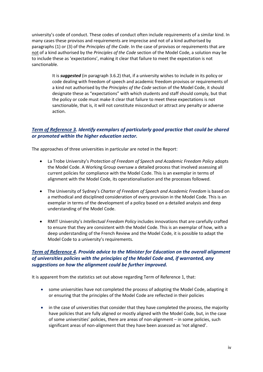university's code of conduct. These codes of conduct often include requirements of a similar kind. In many cases these provisos and requirements are imprecise and not of a kind authorised by paragraphs (1) or (3) of the *Principles of the Code*. In the case of provisos or requirements that are not of a kind authorised by the *Principles of the Code* section of the Model Code, a solution may be to include these as 'expectations', making it clear that failure to meet the expectation is not sanctionable.

> It is *suggested* (in paragraph 3.6.2) that, if a university wishes to include in its policy or code dealing with freedom of speech and academic freedom provisos or requirements of a kind not authorised by the *Principles of the Code* section of the Model Code, it should designate these as "expectations" with which students and staff should comply, but that the policy or code must make it clear that failure to meet these expectations is not sanctionable, that is, it will not constitute misconduct or attract any penalty or adverse action.

#### *Term of Reference 3. Identify exemplars of particularly good practice that could be shared or promoted within the higher education sector.*

The approaches of three universities in particular are noted in the Report:

- La Trobe University's *Protection of Freedom of Speech and Academic Freedom Policy* adopts the Model Code. A Working Group oversaw a detailed process that involved assessing all current policies for compliance with the Model Code. This is an exemplar in terms of alignment with the Model Code, its operationalisation and the processes followed.
- The University of Sydney's *Charter of Freedom of Speech and Academic Freedom* is based on a methodical and disciplined consideration of every provision in the Model Code. This is an exemplar in terms of the development of a policy based on a detailed analysis and deep understanding of the Model Code.
- RMIT University's *Intellectual Freedom Policy* includes innovations that are carefully crafted to ensure that they are consistent with the Model Code. This is an exemplar of how, with a deep understanding of the French Review and the Model Code, it is possible to adapt the Model Code to a university's requirements.

#### *Term of Reference 4. Provide advice to the Minister for Education on the overall alignment of universities policies with the principles of the Model Code and, if warranted, any suggestions on how the alignment could be further improved.*

It is apparent from the statistics set out above regarding Term of Reference 1, that:

- some universities have not completed the process of adopting the Model Code, adapting it or ensuring that the principles of the Model Code are reflected in their policies
- in the case of universities that consider that they have completed the process, the majority have policies that are fully aligned or mostly aligned with the Model Code, but, in the case of some universities' policies, there are areas of non-alignment – in some policies, such significant areas of non-alignment that they have been assessed as 'not aligned'.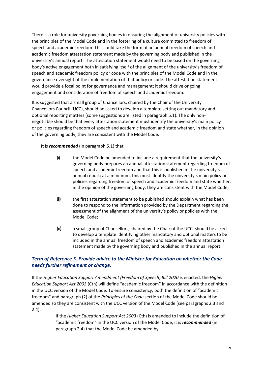There is a role for university governing bodies in ensuring the alignment of university policies with the principles of the Model Code and in the fostering of a culture committed to freedom of speech and academic freedom. This could take the form of an annual freedom of speech and academic freedom attestation statement made by the governing body and published in the university's annual report. The attestation statement would need to be based on the governing body's active engagement both in satisfying itself of the alignment of the university's freedom of speech and academic freedom policy or code with the principles of the Model Code and in the governance oversight of the implementation of that policy or code. The attestation statement would provide a focal point for governance and management; it should drive ongoing engagement and consideration of freedom of speech and academic freedom.

It is suggested that a small group of Chancellors, chaired by the Chair of the University Chancellors Council (UCC), should be asked to develop a template setting out mandatory and optional reporting matters (some suggestions are listed in paragraph 5.1). The only nonnegotiable should be that every attestation statement must identify the university's main policy or policies regarding freedom of speech and academic freedom and state whether, in the opinion of the governing body, they are consistent with the Model Code.

#### It is *recommended* (in paragraph 5.1) that

- (i) the Model Code be amended to include a requirement that the university's governing body prepares an annual attestation statement regarding freedom of speech and academic freedom and that this is published in the university's annual report; at a minimum, this must identify the university's main policy or policies regarding freedom of speech and academic freedom and state whether, in the opinion of the governing body, they are consistent with the Model Code;
- (ii) the first attestation statement to be published should explain what has been done to respond to the information provided by the Department regarding the assessment of the alignment of the university's policy or policies with the Model Code;
- (iii) a small group of Chancellors, chaired by the Chair of the UCC, should be asked to develop a template identifying other mandatory and optional matters to be included in the annual freedom of speech and academic freedom attestation statement made by the governing body and published in the annual report.

#### *Term of Reference 5. Provide advice to the Minister for Education on whether the Code needs further refinement or change.*

If the *Higher Education Support Amendment (Freedom of Speech) Bill 2020* is enacted, the *Higher Education Support Act 2003* (Cth) will define "academic freedom" in accordance with the definition in the UCC version of the Model Code. To ensure consistency, both the definition of "academic freedom" and paragraph (2) of the *Principles of the Code* section of the Model Code should be amended so they are consistent with the UCC version of the Model Code (see paragraphs 2.3 and 2.4).

> If the *Higher Education Support Act 2003* (Cth) is amended to include the definition of "academic freedom" in the UCC version of the Model Code, it is *recommended* (in paragraph 2.4) that the Model Code be amended by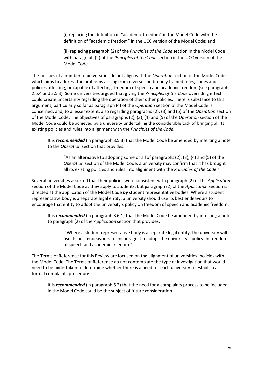(i) replacing the definition of "academic freedom" in the Model Code with the definition of "academic freedom" in the UCC version of the Model Code; and

(ii) replacing paragraph (2) of the *Principles of the Code* section in the Model Code with paragraph (2) of the *Principles of the Code* section in the UCC version of the Model Code.

The policies of a number of universities do not align with the *Operation* section of the Model Code which aims to address the problems arising from diverse and broadly framed rules, codes and policies affecting, or capable of affecting, freedom of speech and academic freedom (see paragraphs 2.5.4 and 3.5.3). Some universities argued that giving the *Principles of the Code* overriding effect could create uncertainty regarding the operation of their other policies. There is substance to this argument, particularly so far as paragraph (4) of the *Operation* section of the Model Code is concerned, and, to a lesser extent, also regarding paragraphs (2), (3) and (5) of the *Operation* section of the Model Code. The objectives of paragraphs (2), (3), (4) and (5) of the *Operation* section of the Model Code could be achieved by a university undertaking the considerable task of bringing all its existing policies and rules into alignment with the *Principles of the Code*.

It is *recommended* (in paragraph 3.5.3) that the Model Code be amended by inserting a note to the *Operation* section that provides:

"As an alternative to adopting some or all of paragraphs (2), (3), (4) and (5) of the *Operation* section of the Model Code, a university may confirm that it has brought all its existing policies and rules into alignment with the *Principles of the Code*."

Several universities asserted that their policies were consistent with paragraph (2) of the *Application* section of the Model Code as they apply to students, but paragraph (2) of the *Application* section is directed at the application of the Model Code *by* student representative bodies. Where a student representative body is a separate legal entity, a university should use its best endeavours to encourage that entity to adopt the university's policy on freedom of speech and academic freedom.

It is *recommended* (in paragraph 3.6.1) that the Model Code be amended by inserting a note to paragraph (2) of the *Application* section that provides:

"Where a student representative body is a separate legal entity, the university will use its best endeavours to encourage it to adopt the university's policy on freedom of speech and academic freedom."

The Terms of Reference for this Review are focused on the alignment of universities' policies with the Model Code. The Terms of Reference do not contemplate the type of investigation that would need to be undertaken to determine whether there is a need for each university to establish a formal complaints procedure.

It is *recommended* (in paragraph 5.2) that the need for a complaints process to be included in the Model Code could be the subject of future consideration.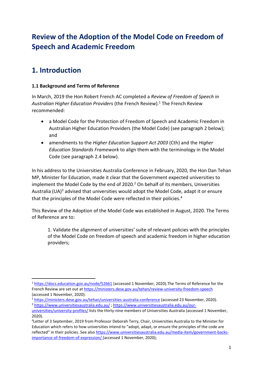# **Review of the Adoption of the Model Code on Freedom of Speech and Academic Freedom**

# **1. Introduction**

## **1.1 Background and Terms of Reference**

In March, 2019 the Hon Robert French AC completed a *Review of Freedom of Speech in Australian Higher Education Providers* (the French Review).<sup>1</sup> The French Review recommended:

- a Model Code for the Protection of Freedom of Speech and Academic Freedom in Australian Higher Education Providers (the Model Code) (see paragraph 2 below); and
- amendments to the *Higher Education Support Act 2003* (Cth) and the *Higher Education Standards Framework* to align them with the terminology in the Model Code (see paragraph 2.4 below).

In his address to the Universities Australia Conference in February, 2020, the Hon Dan Tehan MP, Minister for Education, made it clear that the Government expected universities to implement the Model Code by the end of 2020. <sup>2</sup> On behalf of its members, Universities Australia (UA)<sup>3</sup> advised that universities would adopt the Model Code, adapt it or ensure that the principles of the Model Code were reflected in their policies.<sup>4</sup>

This Review of the Adoption of the Model Code was established in August, 2020. The Terms of Reference are to:

1. Validate the alignment of universities' suite of relevant policies with the principles of the Model Code on freedom of speech and academic freedom in higher education providers;

<sup>2</sup> <https://ministers.dese.gov.au/tehan/universities-australia-conference> (accessed 23 November, 2020). <sup>3</sup> <https://www.universitiesaustralia.edu.au/> ; [https://www.universitiesaustralia.edu.au/our-](https://www.universitiesaustralia.edu.au/our-universities/university-profiles/)

<sup>1</sup> <https://docs.education.gov.au/node/52661> (accessed 1 November, 2020).The Terms of Reference for the French Review are set out at <https://ministers.dese.gov.au/tehan/review-university-freedom-speech> (accessed 1 November, 2020).

[universities/university-profiles/](https://www.universitiesaustralia.edu.au/our-universities/university-profiles/) lists the thirty-nine members of Universities Australia (accessed 1 November, 2020).

<sup>4</sup> Letter of 3 September, 2019 from Professor Deborah Terry, Chair, Universities Australia to the Minister for Education which refers to how universities intend to "adopt, adapt, or ensure the principles of the code are reflected" in their policies. See also [https://www.universitiesaustralia.edu.au/media-item/government-backs](https://www.universitiesaustralia.edu.au/media-item/government-backs-importance-of-freedom-of-expression/)[importance-of-freedom-of-expression/](https://www.universitiesaustralia.edu.au/media-item/government-backs-importance-of-freedom-of-expression/) (accessed 1 November, 2020);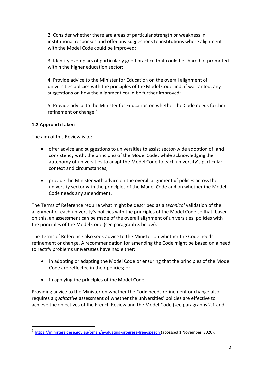2. Consider whether there are areas of particular strength or weakness in institutional responses and offer any suggestions to institutions where alignment with the Model Code could be improved;

3. Identify exemplars of particularly good practice that could be shared or promoted within the higher education sector;

4. Provide advice to the Minister for Education on the overall alignment of universities policies with the principles of the Model Code and, if warranted, any suggestions on how the alignment could be further improved;

5. Provide advice to the Minister for Education on whether the Code needs further refinement or change.<sup>5</sup>

#### **1.2 Approach taken**

The aim of this Review is to:

- offer advice and suggestions to universities to assist sector-wide adoption of, and consistency with, the principles of the Model Code, while acknowledging the autonomy of universities to adapt the Model Code to each university's particular context and circumstances;
- provide the Minister with advice on the overall alignment of polices across the university sector with the principles of the Model Code and on whether the Model Code needs any amendment.

The Terms of Reference require what might be described as a *technical* validation of the alignment of each university's policies with the principles of the Model Code so that, based on this, an assessment can be made of the overall alignment of universities' policies with the principles of the Model Code (see paragraph 3 below).

The Terms of Reference also seek advice to the Minister on whether the Code needs refinement or change. A recommendation for amending the Code might be based on a need to rectify problems universities have had either:

- in adopting or adapting the Model Code or ensuring that the principles of the Model Code are reflected in their policies; or
- in applying the principles of the Model Code.

Providing advice to the Minister on whether the Code needs refinement or change also requires a *qualitative* assessment of whether the universities' policies are effective to achieve the objectives of the French Review and the Model Code (see paragraphs 2.1 and

<sup>&</sup>lt;sup>5</sup> <https://ministers.dese.gov.au/tehan/evaluating-progress-free-speech> (accessed 1 November, 2020).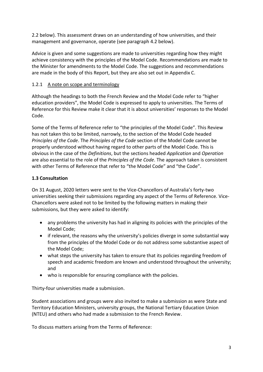2.2 below). This assessment draws on an understanding of how universities, and their management and governance, operate (see paragraph 4.2 below).

Advice is given and some suggestions are made to universities regarding how they might achieve consistency with the principles of the Model Code. Recommendations are made to the Minister for amendments to the Model Code. The suggestions and recommendations are made in the body of this Report, but they are also set out in Appendix C.

## 1.2.1 A note on scope and terminology

Although the headings to both the French Review and the Model Code refer to "higher education providers", the Model Code is expressed to apply to universities. The Terms of Reference for this Review make it clear that it is about universities' responses to the Model Code.

Some of the Terms of Reference refer to "the principles of the Model Code". This Review has not taken this to be limited, narrowly, to the section of the Model Code headed *Principles of the Code*. The *Principles of the Code* section of the Model Code cannot be properly understood without having regard to other parts of the Model Code. This is obvious in the case of the *Definitions*, but the sections headed *Application* and *Operation* are also essential to the role of the *Principles of the Code*. The approach taken is consistent with other Terms of Reference that refer to "the Model Code" and "the Code".

# **1.3 Consultation**

On 31 August, 2020 letters were sent to the Vice-Chancellors of Australia's forty-two universities seeking their submissions regarding any aspect of the Terms of Reference. Vice-Chancellors were asked not to be limited by the following matters in making their submissions, but they were asked to identify:

- any problems the university has had in aligning its policies with the principles of the Model Code;
- if relevant, the reasons why the university's policies diverge in some substantial way from the principles of the Model Code or do not address some substantive aspect of the Model Code;
- what steps the university has taken to ensure that its policies regarding freedom of speech and academic freedom are known and understood throughout the university; and
- who is responsible for ensuring compliance with the policies.

Thirty-four universities made a submission.

Student associations and groups were also invited to make a submission as were State and Territory Education Ministers, university groups, the National Tertiary Education Union (NTEU) and others who had made a submission to the French Review.

To discuss matters arising from the Terms of Reference: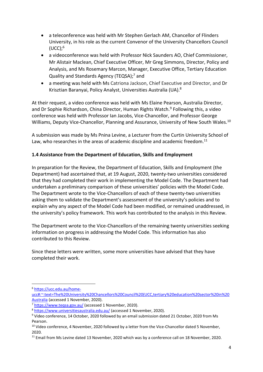- a teleconference was held with Mr Stephen Gerlach AM, Chancellor of Flinders University, in his role as the current Convenor of the University Chancellors Council  $(UCC);$ <sup>6</sup>
- a videoconference was held with Professor Nick Saunders AO, Chief Commissioner, Mr Alistair Maclean, Chief Executive Officer, Mr Greg Simmons, Director, Policy and Analysis, and Ms Rosemary Marcon, Manager, Executive Office, Tertiary Education Quality and Standards Agency (TEQSA); <sup>7</sup> and
- a meeting was held with Ms Catriona Jackson, Chief Executive and Director, and Dr Krisztian Baranyai, Policy Analyst, Universities Australia (UA).<sup>8</sup>

At their request, a video conference was held with Ms Elaine Pearson, Australia Director, and Dr Sophie Richardson, China Director, Human Rights Watch.<sup>9</sup> Following this, a video conference was held with Professor Ian Jacobs, Vice-Chancellor, and Professor George Williams, Deputy Vice-Chancellor, Planning and Assurance, University of New South Wales.<sup>10</sup>

A submission was made by Ms Pnina Levine, a Lecturer from the Curtin University School of Law, who researches in the areas of academic discipline and academic freedom.<sup>11</sup>

#### **1.4 Assistance from the Department of Education, Skills and Employment**

In preparation for the Review, the Department of Education, Skills and Employment (the Department) had ascertained that, at 19 August, 2020, twenty-two universities considered that they had completed their work in implementing the Model Code. The Department had undertaken a preliminary comparison of these universities' policies with the Model Code. The Department wrote to the Vice-Chancellors of each of these twenty-two universities asking them to validate the Department's assessment of the university's policies and to explain why any aspect of the Model Code had been modified, or remained unaddressed, in the university's policy framework. This work has contributed to the analysis in this Review.

The Department wrote to the Vice-Chancellors of the remaining twenty universities seeking information on progress in addressing the Model Code. This information has also contributed to this Review.

Since these letters were written, some more universities have advised that they have completed their work.

<sup>6</sup> [https://ucc.edu.au/home-](https://ucc.edu.au/home-ucc#:~:text=The%20University%20Chancellors%20Council%20(UCC,tertiary%20education%20sector%20in%20Australia)

[ucc#:~:text=The%20University%20Chancellors%20Council%20\(UCC,tertiary%20education%20sector%20in%20](https://ucc.edu.au/home-ucc#:~:text=The%20University%20Chancellors%20Council%20(UCC,tertiary%20education%20sector%20in%20Australia) [Australia](https://ucc.edu.au/home-ucc#:~:text=The%20University%20Chancellors%20Council%20(UCC,tertiary%20education%20sector%20in%20Australia) (accessed 1 November, 2020).

<sup>&</sup>lt;sup>7</sup> <https://www.teqsa.gov.au/> (accessed 1 November, 2020).

<sup>8</sup> <https://www.universitiesaustralia.edu.au/> (accessed 1 November, 2020).

<sup>9</sup> Video conference, 14 October, 2020 followed by an email submission dated 21 October, 2020 from Ms Pearson.

<sup>&</sup>lt;sup>10</sup> Video conference, 4 November, 2020 followed by a letter from the Vice-Chancellor dated 5 November, 2020.

<sup>&</sup>lt;sup>11</sup> Email from Ms Levine dated 13 November, 2020 which was by a conference call on 18 November, 2020.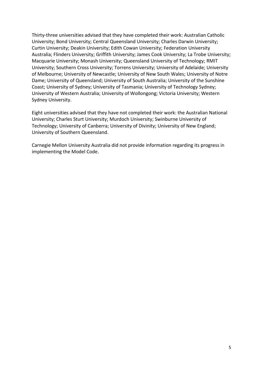Thirty-three universities advised that they have completed their work: Australian Catholic University; Bond University; Central Queensland University; Charles Darwin University; Curtin University; Deakin University; Edith Cowan University; Federation University Australia; Flinders University; Griffith University; James Cook University; La Trobe University; Macquarie University; Monash University; Queensland University of Technology; RMIT University; Southern Cross University; Torrens University; University of Adelaide; University of Melbourne; University of Newcastle; University of New South Wales; University of Notre Dame; University of Queensland; University of South Australia; University of the Sunshine Coast; University of Sydney; University of Tasmania; University of Technology Sydney; University of Western Australia; University of Wollongong; Victoria University; Western Sydney University.

Eight universities advised that they have not completed their work: the Australian National University; Charles Sturt University; Murdoch University; Swinburne University of Technology; University of Canberra; University of Divinity; University of New England; University of Southern Queensland.

Carnegie Mellon University Australia did not provide information regarding its progress in implementing the Model Code.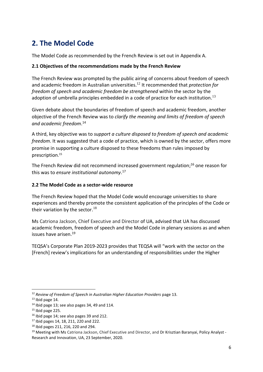# **2. The Model Code**

The Model Code as recommended by the French Review is set out in Appendix A.

#### **2.1 Objectives of the recommendations made by the French Review**

The French Review was prompted by the public airing of concerns about freedom of speech and academic freedom in Australian universities. <sup>12</sup> It recommended that *protection for freedom of speech and academic freedom be strengthened* within the sector by the adoption of umbrella principles embedded in a code of practice for each institution.<sup>13</sup>

Given debate about the boundaries of freedom of speech and academic freedom, another objective of the French Review was to *clarify the meaning and limits of freedom of speech and academic freedom*. 14

A third, key objective was to *support a culture disposed to freedom of speech and academic freedom*. It was suggested that a code of practice, which is owned by the sector, offers more promise in supporting a culture disposed to these freedoms than rules imposed by prescription. 15

The French Review did not recommend increased government regulation; <sup>16</sup> one reason for this was to *ensure institutional autonomy*. 17

## **2.2 The Model Code as a sector-wide resource**

The French Review hoped that the Model Code would encourage universities to share experiences and thereby promote the consistent application of the principles of the Code or their variation by the sector.<sup>18</sup>

Ms Catriona Jackson, Chief Executive and Director of UA, advised that UA has discussed academic freedom, freedom of speech and the Model Code in plenary sessions as and when issues have arisen. 19

TEQSA's Corporate Plan 2019-2023 provides that TEQSA will "work with the sector on the [French] review's implications for an understanding of responsibilities under the Higher

<sup>&</sup>lt;sup>12</sup> Review of Freedom of Speech in Australian Higher Education Providers page 13.

 $13$  Ibid page 14.

 $14$  Ibid page 13; see also pages 34, 49 and 114.

 $15$  Ibid page 225.

<sup>&</sup>lt;sup>16</sup> Ibid page 14; see also pages 39 and 212.

<sup>17</sup> Ibid pages 14, 18, 211, 220 and 222.

<sup>18</sup> Ibid pages 211, 216, 220 and 294.

<sup>&</sup>lt;sup>19</sup> Meeting with Ms Catriona Jackson, Chief Executive and Director, and Dr Krisztian Baranyai, Policy Analyst -Research and Innovation, UA, 23 September, 2020.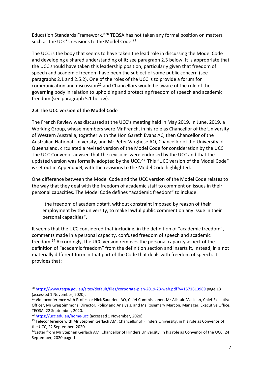Education Standards Framework."<sup>20</sup> TEQSA has not taken any formal position on matters such as the UCC's revisions to the Model Code.<sup>21</sup>

The UCC is the body that seems to have taken the lead role in discussing the Model Code and developing a shared understanding of it; see paragraph 2.3 below. It is appropriate that the UCC should have taken this leadership position, particularly given that freedom of speech and academic freedom have been the subject of some public concern (see paragraphs 2.1 and 2.5.2). One of the roles of the UCC is to provide a forum for communication and discussion<sup>22</sup> and Chancellors would be aware of the role of the governing body in relation to upholding and protecting freedom of speech and academic freedom (see paragraph 5.1 below).

#### **2.3 The UCC version of the Model Code**

The French Review was discussed at the UCC's meeting held in May 2019. In June, 2019, a Working Group, whose members were Mr French, in his role as Chancellor of the University of Western Australia, together with the Hon Gareth Evans AC, then Chancellor of the Australian National University, and Mr Peter Varghese AO, Chancellor of the University of Queensland, circulated a revised version of the Model Code for consideration by the UCC. The UCC Convenor advised that the revisions were endorsed by the UCC and that the updated version was formally adopted by the UCC.<sup>23</sup> This "UCC version of the Model Code" is set out in Appendix B, with the revisions to the Model Code highlighted.

One difference between the Model Code and the UCC version of the Model Code relates to the way that they deal with the freedom of academic staff to comment on issues in their personal capacities. The Model Code defines "academic freedom" to include:

"the freedom of academic staff, without constraint imposed by reason of their employment by the university, to make lawful public comment on any issue in their personal capacities".

It seems that the UCC considered that including, in the definition of "academic freedom", comments made in a personal capacity, confused freedom of speech and academic freedom. <sup>24</sup> Accordingly, the UCC version removes the personal capacity aspect of the definition of "academic freedom" from the definition section and inserts it, instead, in a not materially different form in that part of the Code that deals with freedom of speech. It provides that:

<sup>20</sup> <https://www.teqsa.gov.au/sites/default/files/corporate-plan-2019-23-web.pdf?v=1571613989> page 13 (accessed 1 November, 2020).

<sup>&</sup>lt;sup>21</sup> Videoconference with Professor Nick Saunders AO, Chief Commissioner, Mr Alistair Maclean, Chief Executive Officer, Mr Greg Simmons, Director, Policy and Analysis, and Ms Rosemary Marcon, Manager, Executive Office, TEQSA, 22 September, 2020.

<sup>22</sup> <https://ucc.edu.au/home-ucc> (accessed 1 November, 2020).

<sup>&</sup>lt;sup>23</sup> Teleconference with Mr Stephen Gerlach AM, Chancellor of Flinders University, in his role as Convenor of the UCC, 22 September, 2020.

 $24$ Letter from Mr Stephen Gerlach AM, Chancellor of Flinders University, in his role as Convenor of the UCC, 24 September, 2020 page 1.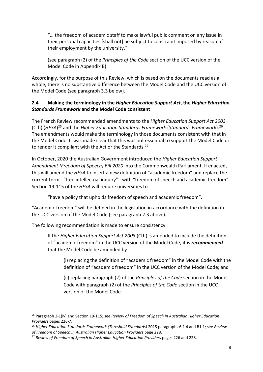"… the freedom of academic staff to make lawful public comment on any issue in their personal capacities [shall not] be subject to constraint imposed by reason of their employment by the university."

(see paragraph (2) of the *Principles of the Code* section of the UCC version of the Model Code in Appendix B).

Accordingly, for the purpose of this Review, which is based on the documents read as a whole, there is no substantive difference between the Model Code and the UCC version of the Model Code (see paragraph 3.3 below).

#### **2.4 Making the terminology in the** *Higher Education Support Act***, the** *Higher Education Standards Framework* **and the Model Code consistent**

The French Review recommended amendments to the *Higher Education Support Act 2003* (Cth) (*HESA*) <sup>25</sup> and the *Higher Education Standards Framework* (*Standards Framework*).<sup>26</sup> The amendments would make the terminology in those documents consistent with that in the Model Code. It was made clear that this was not essential to support the Model Code or to render it compliant with the Act or the Standards.<sup>27</sup>

In October, 2020 the Australian Government introduced the *Higher Education Support Amendment (Freedom of Speech) Bill 2020* into the Commonwealth Parliament. If enacted, this will amend the *HESA* to insert a new definition of "academic freedom" and replace the current term - "free intellectual inquiry" - with "freedom of speech and academic freedom". Section 19-115 of the *HESA* will require universities to

"have a policy that upholds freedom of speech and academic freedom".

"Academic freedom" will be defined in the legislation in accordance with the definition in the UCC version of the Model Code (see paragraph 2.3 above).

The following recommendation is made to ensure consistency.

If the *Higher Education Support Act 2003* (Cth) is amended to include the definition of "academic freedom" in the UCC version of the Model Code, it is *recommended* that the Model Code be amended by

(i) replacing the definition of "academic freedom" in the Model Code with the definition of "academic freedom" in the UCC version of the Model Code; and

(ii) replacing paragraph (2) of the *Principles of the Code* section in the Model Code with paragraph (2) of the *Principles of the Code* section in the UCC version of the Model Code.

<sup>25</sup> Paragraph 2-1(iv) and Section 19-115; see *Review of Freedom of Speech in Australian Higher Education Providers* pages 226-7.

<sup>26</sup> *Higher Education Standards Framework (Threshold Standards)* 2015 paragraphs 6.1 4 and B1.1; see *Review of Freedom of Speech in Australian Higher Education Providers* page 228.

<sup>&</sup>lt;sup>27</sup> Review of Freedom of Speech in Australian Higher Education Providers pages 226 and 228.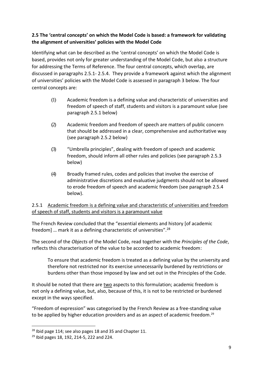# **2.5 The 'central concepts' on which the Model Code is based: a framework for validating the alignment of universities' policies with the Model Code**

Identifying what can be described as the 'central concepts' on which the Model Code is based, provides not only for greater understanding of the Model Code, but also a structure for addressing the Terms of Reference. The four central concepts, which overlap, are discussed in paragraphs 2.5.1- 2.5.4. They provide a framework against which the alignment of universities' policies with the Model Code is assessed in paragraph 3 below. The four central concepts are:

- (1) Academic freedom is a defining value and characteristic of universities and freedom of speech of staff, students and visitors is a paramount value (see paragraph 2.5.1 below)
- (2) Academic freedom and freedom of speech are matters of public concern that should be addressed in a clear, comprehensive and authoritative way (see paragraph 2.5.2 below)
- (3) "Umbrella principles", dealing with freedom of speech and academic freedom, should inform all other rules and policies (see paragraph 2.5.3 below)
- (4) Broadly framed rules, codes and policies that involve the exercise of administrative discretions and evaluative judgments should not be allowed to erode freedom of speech and academic freedom (see paragraph 2.5.4 below).

## 2.5.1 Academic freedom is a defining value and characteristic of universities and freedom of speech of staff, students and visitors is a paramount value

The French Review concluded that the "essential elements and history [of academic freedom] … mark it as a defining characteristic of universities".<sup>28</sup>

The second of the *Objects* of the Model Code, read together with the *Principles of the Code*, reflects this characterisation of the value to be accorded to academic freedom:

To ensure that academic freedom is treated as a defining value by the university and therefore not restricted nor its exercise unnecessarily burdened by restrictions or burdens other than those imposed by law and set out in the Principles of the Code.

It should be noted that there are two aspects to this formulation; academic freedom is not only a defining value, but, also, because of this, it is not to be restricted or burdened except in the ways specified.

"Freedom of expression" was categorised by the French Review as a free-standing value to be applied by higher education providers and as an aspect of academic freedom.<sup>29</sup>

<sup>28</sup> Ibid page 114; see also pages 18 and 35 and Chapter 11.

<sup>29</sup> Ibid pages 18, 192, 214-5, 222 and 224.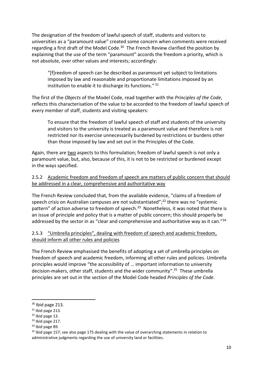The designation of the freedom of lawful speech of staff, students and visitors to universities as a "paramount value" created some concern when comments were received regarding a first draft of the Model Code.<sup>30</sup> The French Review clarified the position by explaining that the use of the term "paramount" accords the freedom a priority, which is not absolute, over other values and interests; accordingly:

"[f]reedom of speech can be described as paramount yet subject to limitations imposed by law and reasonable and proportionate limitations imposed by an institution to enable it to discharge its functions."<sup>31</sup>

The first of the *Objects* of the Model Code, read together with the *Principles of the Code*, reflects this characterisation of the value to be accorded to the freedom of lawful speech of every member of staff, students and visiting speakers:

To ensure that the freedom of lawful speech of staff and students of the university and visitors to the university is treated as a paramount value and therefore is not restricted nor its exercise unnecessarily burdened by restrictions or burdens other than those imposed by law and set out in the Principles of the Code.

Again, there are two aspects to this formulation; freedom of lawful speech is not only a paramount value, but, also, because of this, it is not to be restricted or burdened except in the ways specified.

## 2.5.2 Academic freedom and freedom of speech are matters of public concern that should be addressed in a clear, comprehensive and authoritative way

The French Review concluded that, from the available evidence, "claims of a freedom of speech crisis on Australian campuses are not substantiated";<sup>32</sup> there was no "systemic pattern" of action adverse to freedom of speech.<sup>33</sup> Nonetheless, it was noted that there is an issue of principle and policy that is a matter of public concern; this should properly be addressed by the sector in as "clear and comprehensive and authoritative way as it can."<sup>34</sup>

#### 2.5.3 "Umbrella principles", dealing with freedom of speech and academic freedom, should inform all other rules and policies

The French Review emphasised the benefits of adopting a set of umbrella principles on freedom of speech and academic freedom, informing all other rules and policies. Umbrella principles would improve "the accessibility of … important information to university decision-makers, other staff, students and the wider community". <sup>35</sup> These umbrella principles are set out in the section of the Model Code headed *Principles of the Code*.

 $30$  Ibid page 213.

 $31$  Ibid page 213.

 $32$  Ibid page 13.

<sup>&</sup>lt;sup>33</sup> Ibid page 217.

<sup>&</sup>lt;sup>34</sup> Ibid page 89.

<sup>&</sup>lt;sup>35</sup> Ibid page 157; see also page 175 dealing with the value of overarching statements in relation to administrative judgments regarding the use of university land or facilities.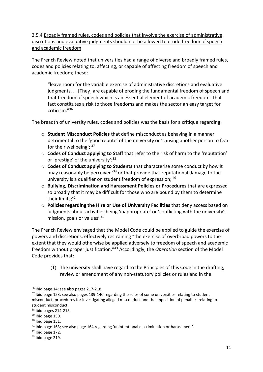2.5.4 Broadly framed rules, codes and policies that involve the exercise of administrative discretions and evaluative judgments should not be allowed to erode freedom of speech and academic freedom

The French Review noted that universities had a range of diverse and broadly framed rules, codes and policies relating to, affecting, or capable of affecting freedom of speech and academic freedom; these:

"leave room for the variable exercise of administrative discretions and evaluative judgments. … [They] are capable of eroding the fundamental freedom of speech and that freedom of speech which is an essential element of academic freedom. That fact constitutes a risk to those freedoms and makes the sector an easy target for criticism." 36

The breadth of university rules, codes and policies was the basis for a critique regarding:

- o **Student Misconduct Policies** that define misconduct as behaving in a manner detrimental to the 'good repute' of the university or 'causing another person to fear for their wellbeing'; <sup>37</sup>
- o **Codes of Conduct applying to Staff** that refer to the risk of harm to the 'reputation' or 'prestige' of the university';<sup>38</sup>
- o **Codes of Conduct applying to Students** that characterise some conduct by how it 'may reasonably be perceived'<sup>39</sup> or that provide that reputational damage to the university is a qualifier on student freedom of expression;  $^{40}$
- o **Bullying, Discrimination and Harassment Policies or Procedures** that are expressed so broadly that it may be difficult for those who are bound by them to determine their limits; 41
- o **Policies regarding the Hire or Use of University Facilities** that deny access based on judgments about activities being 'inappropriate' or 'conflicting with the university's mission, goals or values'.<sup>42</sup>

The French Review envisaged that the Model Code could be applied to guide the exercise of powers and discretions, effectively restraining "the exercise of overbroad powers to the extent that they would otherwise be applied adversely to freedom of speech and academic freedom without proper justification."<sup>43</sup> Accordingly, the *Operation* section of the Model Code provides that:

(1) The university shall have regard to the Principles of this Code in the drafting, review or amendment of any non-statutory policies or rules and in the

<sup>36</sup> Ibid page 14; see also pages 217-218.

 $37$  lbid page 153; see also pages 139-140 regarding the rules of some universities relating to student misconduct, procedures for investigating alleged misconduct and the imposition of penalties relating to student misconduct.

<sup>38</sup> Ibid pages 214-215.

<sup>&</sup>lt;sup>39</sup> Ibid page 150.

 $40$  Ibid page 151.

<sup>41</sup> Ibid page 163; see also page 164 regarding 'unintentional discrimination or harassment'.

<sup>42</sup> Ibid page 172.

<sup>43</sup> Ibid page 219.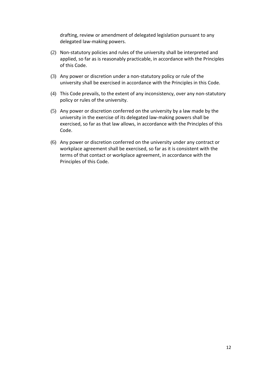drafting, review or amendment of delegated legislation pursuant to any delegated law-making powers.

- (2) Non-statutory policies and rules of the university shall be interpreted and applied, so far as is reasonably practicable, in accordance with the Principles of this Code.
- (3) Any power or discretion under a non-statutory policy or rule of the university shall be exercised in accordance with the Principles in this Code.
- (4) This Code prevails, to the extent of any inconsistency, over any non-statutory policy or rules of the university.
- (5) Any power or discretion conferred on the university by a law made by the university in the exercise of its delegated law-making powers shall be exercised, so far as that law allows, in accordance with the Principles of this Code.
- (6) Any power or discretion conferred on the university under any contract or workplace agreement shall be exercised, so far as it is consistent with the terms of that contact or workplace agreement, in accordance with the Principles of this Code.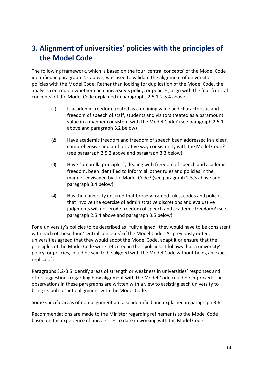# **3. Alignment of universities' policies with the principles of the Model Code**

The following framework, which is based on the four 'central concepts' of the Model Code identified in paragraph 2.5 above, was used to validate the alignment of universities' policies with the Model Code. Rather than looking for duplication of the Model Code, the analysis centred on whether each university's policy, or policies, align with the four 'central concepts' of the Model Code explained in paragraphs 2.5.1-2.5.4 above:

- (1) Is academic freedom treated as a defining value and characteristic and is freedom of speech of staff, students and visitors treated as a paramount value in a manner consistent with the Model Code? (see paragraph 2.5.1 above and paragraph 3.2 below)
- (2) Have academic freedom and freedom of speech been addressed in a clear, comprehensive and authoritative way consistently with the Model Code? (see paragraph 2.5.2 above and paragraph 3.3 below)
- (3) Have "umbrella principles", dealing with freedom of speech and academic freedom, been identified to inform all other rules and policies in the manner envisaged by the Model Code? (see paragraph 2.5.3 above and paragraph 3.4 below)
- (4) Has the university ensured that broadly framed rules, codes and policies that involve the exercise of administrative discretions and evaluative judgments will not erode freedom of speech and academic freedom? (see paragraph 2.5.4 above and paragraph 3.5 below).

For a university's policies to be described as "fully aligned" they would have to be consistent with each of these four 'central concepts' of the Model Code. As previously noted, universities agreed that they would adopt the Model Code, adapt it or ensure that the principles of the Model Code were reflected in their policies. It follows that a university's policy, or policies, could be said to be aligned with the Model Code without being an exact replica of it.

Paragraphs 3.2-3.5 identify areas of strength or weakness in universities' responses and offer suggestions regarding how alignment with the Model Code could be improved. The observations in these paragraphs are written with a view to assisting each university to bring its policies into alignment with the Model Code.

Some specific areas of non-alignment are also identified and explained in paragraph 3.6.

Recommendations are made to the Minister regarding refinements to the Model Code based on the experience of universities to date in working with the Model Code.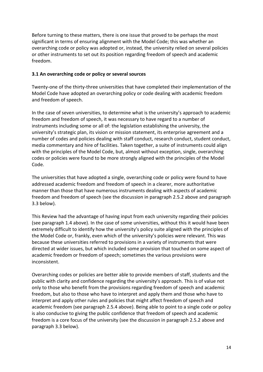Before turning to these matters, there is one issue that proved to be perhaps the most significant in terms of ensuring alignment with the Model Code; this was whether an overarching code or policy was adopted or, instead, the university relied on several policies or other instruments to set out its position regarding freedom of speech and academic freedom.

#### **3.1 An overarching code or policy or several sources**

Twenty-one of the thirty-three universities that have completed their implementation of the Model Code have adopted an overarching policy or code dealing with academic freedom and freedom of speech.

In the case of seven universities, to determine what is the university's approach to academic freedom and freedom of speech, it was necessary to have regard to a number of instruments including some or all of: the legislation establishing the university, the university's strategic plan, its vision or mission statement, its enterprise agreement and a number of codes and policies dealing with staff conduct, research conduct, student conduct, media commentary and hire of facilities. Taken together, a suite of instruments could align with the principles of the Model Code, but, almost without exception, single, overarching codes or policies were found to be more strongly aligned with the principles of the Model Code.

The universities that have adopted a single, overarching code or policy were found to have addressed academic freedom and freedom of speech in a clearer, more authoritative manner than those that have numerous instruments dealing with aspects of academic freedom and freedom of speech (see the discussion in paragraph 2.5.2 above and paragraph 3.3 below).

This Review had the advantage of having input from each university regarding their policies (see paragraph 1.4 above). In the case of some universities, without this it would have been extremely difficult to identify how the university's policy suite aligned with the principles of the Model Code or, frankly, even which of the university's policies were relevant. This was because these universities referred to provisions in a variety of instruments that were directed at wider issues, but which included some provision that touched on some aspect of academic freedom or freedom of speech; sometimes the various provisions were inconsistent.

Overarching codes or policies are better able to provide members of staff, students and the public with clarity and confidence regarding the university's approach. This is of value not only to those who benefit from the provisions regarding freedom of speech and academic freedom, but also to those who have to interpret and apply them and those who have to interpret and apply other rules and policies that might affect freedom of speech and academic freedom (see paragraph 2.5.4 above). Being able to point to a single code or policy is also conducive to giving the public confidence that freedom of speech and academic freedom is a core focus of the university (see the discussion in paragraph 2.5.2 above and paragraph 3.3 below).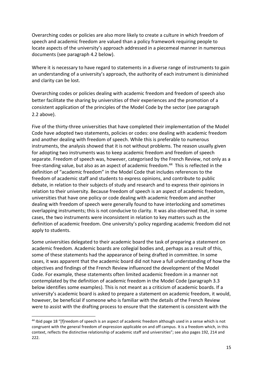Overarching codes or policies are also more likely to create a culture in which freedom of speech and academic freedom are valued than a policy framework requiring people to locate aspects of the university's approach addressed in a piecemeal manner in numerous documents (see paragraph 4.2 below).

Where it is necessary to have regard to statements in a diverse range of instruments to gain an understanding of a university's approach, the authority of each instrument is diminished and clarity can be lost.

Overarching codes or policies dealing with academic freedom and freedom of speech also better facilitate the sharing by universities of their experiences and the promotion of a consistent application of the principles of the Model Code by the sector (see paragraph 2.2 above).

Five of the thirty-three universities that have completed their implementation of the Model Code have adopted two statements, policies or codes: one dealing with academic freedom and another dealing with freedom of speech. While this is preferable to numerous instruments, the analysis showed that it is not without problems. The reason usually given for adopting two instruments was to keep academic freedom and freedom of speech separate. Freedom of speech was, however, categorised by the French Review, not only as a free-standing value, but also as an aspect of academic freedom.<sup>44</sup> This is reflected in the definition of "academic freedom" in the Model Code that includes references to the freedom of academic staff and students to express opinions, and contribute to public debate, in relation to their subjects of study and research and to express their opinions in relation to their university. Because freedom of speech is an aspect of academic freedom, universities that have one policy or code dealing with academic freedom and another dealing with freedom of speech were generally found to have interlocking and sometimes overlapping instruments; this is not conducive to clarity. It was also observed that, in some cases, the two instruments were inconsistent in relation to key matters such as the definition of academic freedom. One university's policy regarding academic freedom did not apply to students.

Some universities delegated to their academic board the task of preparing a statement on academic freedom. Academic boards are collegial bodies and, perhaps as a result of this, some of these statements had the appearance of being drafted in committee. In some cases, it was apparent that the academic board did not have a full understanding of how the objectives and findings of the French Review influenced the development of the Model Code. For example, these statements often limited academic freedom in a manner not contemplated by the definition of academic freedom in the Model Code (paragraph 3.3 below identifies some examples). This is not meant as a criticism of academic boards. If a university's academic board is asked to prepare a statement on academic freedom, it would, however, be beneficial if someone who is familiar with the details of the French Review were to assist with the drafting process to ensure that the statement is consistent with the

<sup>44</sup> Ibid page 18 "[f]reedom of speech is an aspect of academic freedom although used in a sense which is not congruent with the general freedom of expression applicable on and off campus. It is a freedom which, in this context, reflects the distinctive relationship of academic staff and universities"; see also pages 192, 214 and 222.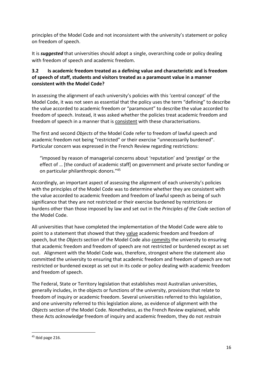principles of the Model Code and not inconsistent with the university's statement or policy on freedom of speech.

It is *suggested* that universities should adopt a single, overarching code or policy dealing with freedom of speech and academic freedom.

# **3.2 Is academic freedom treated as a defining value and characteristic and is freedom of speech of staff, students and visitors treated as a paramount value in a manner consistent with the Model Code?**

In assessing the alignment of each university's policies with this 'central concept' of the Model Code, it was not seen as essential that the policy uses the term "defining" to describe the value accorded to academic freedom or "paramount" to describe the value accorded to freedom of speech. Instead, it was asked whether the policies treat academic freedom and freedom of speech in a manner that is consistent with these characterisations.

The first and second *Objects* of the Model Code refer to freedom of lawful speech and academic freedom not being "restricted" or their exercise "unnecessarily burdened". Particular concern was expressed in the French Review regarding restrictions:

"imposed by reason of managerial concerns about 'reputation' and 'prestige' or the effect of … [the conduct of academic staff] on government and private sector funding or on particular philanthropic donors."<sup>45</sup>

Accordingly, an important aspect of assessing the alignment of each university's policies with the principles of the Model Code was to determine whether they are consistent with the value accorded to academic freedom and freedom of lawful speech as being of such significance that they are not restricted or their exercise burdened by restrictions or burdens other than those imposed by law and set out in the *Principles of the Cod*e section of the Model Code.

All universities that have completed the implementation of the Model Code were able to point to a statement that showed that they value academic freedom and freedom of speech, but the *Objects* section of the Model Code also commits the university to ensuring that academic freedom and freedom of speech are not restricted or burdened except as set out. Alignment with the Model Code was, therefore, strongest where the statement also committed the university to ensuring that academic freedom and freedom of speech are not restricted or burdened except as set out in its code or policy dealing with academic freedom and freedom of speech.

The Federal, State or Territory legislation that establishes most Australian universities, generally includes, in the objects or functions of the university, provisions that relate to freedom of inquiry or academic freedom. Several universities referred to this legislation, and one university referred to this legislation alone, as evidence of alignment with the *Objects* section of the Model Code. Nonetheless, as the French Review explained, while these Acts *acknowledge* freedom of inquiry and academic freedom, they do not *restrain*

 $45$  Ibid page 216.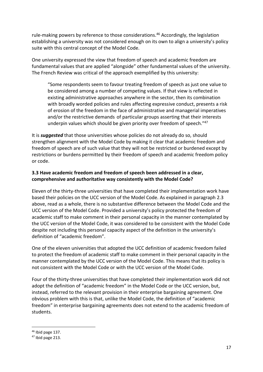rule-making powers by reference to those considerations.<sup>46</sup> Accordingly, the legislation establishing a university was not considered enough on its own to align a university's policy suite with this central concept of the Model Code.

One university expressed the view that freedom of speech and academic freedom are fundamental values that are applied "alongside" other fundamental values of the university. The French Review was critical of the approach exemplified by this university:

"Some respondents seem to favour treating freedom of speech as just one value to be considered among a number of competing values. If that view is reflected in existing administrative approaches anywhere in the sector, then its combination with broadly worded policies and rules affecting expressive conduct, presents a risk of erosion of the freedom in the face of administrative and managerial imperatives and/or the restrictive demands of particular groups asserting that their interests underpin values which should be given priority over freedom of speech."47

It is *suggested* that those universities whose policies do not already do so, should strengthen alignment with the Model Code by making it clear that academic freedom and freedom of speech are of such value that they will not be restricted or burdened except by restrictions or burdens permitted by their freedom of speech and academic freedom policy or code.

#### **3.3 Have academic freedom and freedom of speech been addressed in a clear, comprehensive and authoritative way consistently with the Model Code?**

Eleven of the thirty-three universities that have completed their implementation work have based their policies on the UCC version of the Model Code. As explained in paragraph 2.3 above, read as a whole, there is no substantive difference between the Model Code and the UCC version of the Model Code. Provided a university's policy protected the freedom of academic staff to make comment in their personal capacity in the manner contemplated by the UCC version of the Model Code, it was considered to be consistent with the Model Code despite not including this personal capacity aspect of the definition in the university's definition of "academic freedom".

One of the eleven universities that adopted the UCC definition of academic freedom failed to protect the freedom of academic staff to make comment in their personal capacity in the manner contemplated by the UCC version of the Model Code. This means that its policy is not consistent with the Model Code or with the UCC version of the Model Code.

Four of the thirty-three universities that have completed their implementation work did not adopt the definition of "academic freedom" in the Model Code or the UCC version, but, instead, referred to the relevant provision in their enterprise bargaining agreement. One obvious problem with this is that, unlike the Model Code, the definition of "academic freedom" in enterprise bargaining agreements does not extend to the academic freedom of students.

 $46$  Ibid page 137.

<sup>47</sup> Ibid page 213.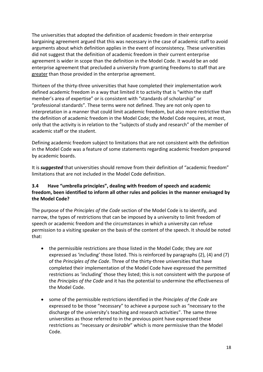The universities that adopted the definition of academic freedom in their enterprise bargaining agreement argued that this was necessary in the case of academic staff to avoid arguments about which definition applies in the event of inconsistency. These universities did not suggest that the definition of academic freedom in their current enterprise agreement is wider in scope than the definition in the Model Code. It would be an odd enterprise agreement that precluded a university from granting freedoms to staff that are greater than those provided in the enterprise agreement.

Thirteen of the thirty-three universities that have completed their implementation work defined academic freedom in a way that limited it to activity that is "within the staff member's area of expertise" or is consistent with "standards of scholarship" or "professional standards". These terms were not defined. They are not only open to interpretation in a manner that could limit academic freedom, but also more restrictive than the definition of academic freedom in the Model Code; the Model Code requires, at most, only that the activity is in relation to the "subjects of study and research" of the member of academic staff or the student.

Defining academic freedom subject to limitations that are not consistent with the definition in the Model Code was a feature of some statements regarding academic freedom prepared by academic boards.

It is *suggested* that universities should remove from their definition of "academic freedom" limitations that are not included in the Model Code definition.

#### **3.4 Have "umbrella principles", dealing with freedom of speech and academic freedom, been identified to inform all other rules and policies in the manner envisaged by the Model Code?**

The purpose of the *Principles of the Code* section of the Model Code is to identify, and narrow, the types of restrictions that can be imposed by a university to limit freedom of speech or academic freedom and the circumstances in which a university can refuse permission to a visiting speaker on the basis of the content of the speech. It should be noted that:

- the permissible restrictions are those listed in the Model Code; they are *not*  expressed as 'including' those listed. This is reinforced by paragraphs (2), (4) and (7) of the *Principles of the Code*. Three of the thirty-three universities that have completed their implementation of the Model Code have expressed the permitted restrictions as 'including' those they listed; this is not consistent with the purpose of the *Principles of the Code* and it has the potential to undermine the effectiveness of the Model Code.
- some of the permissible restrictions identified in the *Principles of the Code* are expressed to be those "necessary" to achieve a purpose such as "necessary to the discharge of the university's teaching and research activities". The same three universities as those referred to in the previous point have expressed these restrictions as "necessary *or desirable*" which is more permissive than the Model Code.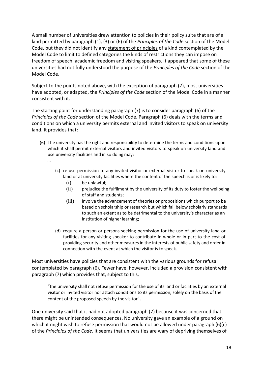A small number of universities drew attention to policies in their policy suite that are of a kind permitted by paragraph (1), (3) or (6) of the *Principles of the Code* section of the Model Code, but they did not identify any statement of principles of a kind contemplated by the Model Code to limit to defined categories the kinds of restrictions they can impose on freedom of speech, academic freedom and visiting speakers. It appeared that some of these universities had not fully understood the purpose of the *Principles of the Code* section of the Model Code.

Subject to the points noted above, with the exception of paragraph (7), most universities have adopted, or adapted, the *Principles of the Code* section of the Model Code in a manner consistent with it.

The starting point for understanding paragraph (7) is to consider paragraph (6) of the *Principles of the Code* section of the Model Code. Paragraph (6) deals with the terms and conditions on which a university permits external and invited visitors to speak on university land. It provides that:

- (6) The university has the right and responsibility to determine the terms and conditions upon which it shall permit external visitors and invited visitors to speak on university land and use university facilities and in so doing may:
	- …
- (c) refuse permission to any invited visitor or external visitor to speak on university land or at university facilities where the content of the speech is or is likely to:
	- (i) be unlawful;
	- (ii) prejudice the fulfilment by the university of its duty to foster the wellbeing of staff and students;
	- (iii) involve the advancement of theories or propositions which purport to be based on scholarship or research but which fall below scholarly standards to such an extent as to be detrimental to the university's character as an institution of higher learning;
- (d) require a person or persons seeking permission for the use of university land or facilities for any visiting speaker to contribute in whole or in part to the cost of providing security and other measures in the interests of public safety and order in connection with the event at which the visitor is to speak.

Most universities have policies that are consistent with the various grounds for refusal contemplated by paragraph (6). Fewer have, however, included a provision consistent with paragraph (7) which provides that, subject to this,

"the university shall not refuse permission for the use of its land or facilities by an external visitor or invited visitor nor attach conditions to its permission, solely on the basis of the content of the proposed speech by the visitor".

One university said that it had not adopted paragraph (7) because it was concerned that there might be unintended consequences. No university gave an example of a ground on which it might wish to refuse permission that would not be allowed under paragraph (6)(c) of the *Principles of the Code*. It seems that universities are wary of depriving themselves of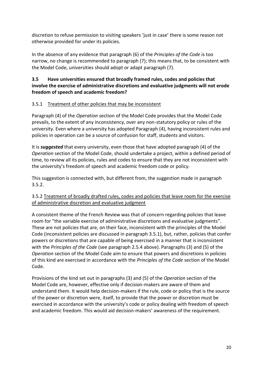discretion to refuse permission to visiting speakers 'just in case' there is some reason not otherwise provided for under its policies.

In the absence of any evidence that paragraph (6) of the *Principles of the Code* is too narrow, no change is recommended to paragraph (7); this means that, to be consistent with the Model Code, universities should adopt or adapt paragraph (7).

## **3.5 Have universities ensured that broadly framed rules, codes and policies that involve the exercise of administrative discretions and evaluative judgments will not erode freedom of speech and academic freedom?**

#### 3.5.1 Treatment of other policies that may be inconsistent

Paragraph (4) of the *Operation* section of the Model Code provides that the Model Code prevails, to the extent of any inconsistency, over any non-statutory policy or rules of the university. Even where a university has adopted Paragraph (4), having inconsistent rules and policies in operation can be a source of confusion for staff, students and visitors.

It is *suggested* that every university, even those that have adopted paragraph (4) of the *Operation* section of the Model Code, should undertake a project, within a defined period of time, to review all its policies, rules and codes to ensure that they are not inconsistent with the university's freedom of speech and academic freedom code or policy.

This suggestion is connected with, but different from, the suggestion made in paragraph 3.5.2.

#### 3.5.2 Treatment of broadly drafted rules, codes and policies that leave room for the exercise of administrative discretion and evaluative judgment

A consistent theme of the French Review was that of concern regarding policies that leave room for "the variable exercise of administrative discretions and evaluative judgments". These are not policies that are, on their face, inconsistent with the principles of the Model Code (inconsistent policies are discussed in paragraph 3.5.1), but, rather, policies that confer powers or discretions that are capable of being exercised in a manner that is inconsistent with the *Principles of the Code* (see paragraph 2.5.4 above). Paragraphs (3) and (5) of the *Operation* section of the Model Code aim to ensure that powers and discretions in policies of this kind are exercised in accordance with the *Principles of the Code* section of the Model Code.

Provisions of the kind set out in paragraphs (3) and (5) of the *Operation* section of the Model Code are, however, effective only if decision-makers are aware of them and understand them. It would help decision-makers if the rule, code or policy that is the source of the power or discretion were, itself, to provide that the power or discretion must be exercised in accordance with the university's code or policy dealing with freedom of speech and academic freedom. This would aid decision-makers' awareness of the requirement.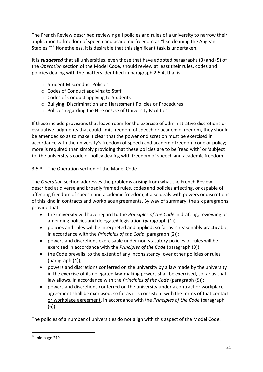The French Review described reviewing all policies and rules of a university to narrow their application to freedom of speech and academic freedom as "like cleaning the Augean Stables."<sup>48</sup> Nonetheless, it is desirable that this significant task is undertaken.

It is *suggested* that all universities, even those that have adopted paragraphs (3) and (5) of the *Operation* section of the Model Code, should review at least their rules, codes and policies dealing with the matters identified in paragraph 2.5.4, that is:

- o Student Misconduct Policies
- o Codes of Conduct applying to Staff
- o Codes of Conduct applying to Students
- o Bullying, Discrimination and Harassment Policies or Procedures
- o Policies regarding the Hire or Use of University Facilities.

If these include provisions that leave room for the exercise of administrative discretions or evaluative judgments that could limit freedom of speech or academic freedom, they should be amended so as to make it clear that the power or discretion must be exercised in accordance with the university's freedom of speech and academic freedom code or policy; more is required than simply providing that these policies are to be 'read with' or 'subject to' the university's code or policy dealing with freedom of speech and academic freedom.

# 3.5.3 The Operation section of the Model Code

The *Operation* section addresses the problems arising from what the French Review described as diverse and broadly framed rules, codes and policies affecting, or capable of affecting freedom of speech and academic freedom; it also deals with powers or discretions of this kind in contracts and workplace agreements. By way of summary, the six paragraphs provide that:

- the university will have regard to the *Principles of the Code* in drafting, reviewing or amending policies and delegated legislation (paragraph (1));
- policies and rules will be interpreted and applied, so far as is reasonably practicable, in accordance with the *Principles of the Code* (paragraph (2));
- powers and discretions exercisable under non-statutory policies or rules will be exercised in accordance with the *Principles of the Code* (paragraph (3));
- the Code prevails, to the extent of any inconsistency, over other policies or rules (paragraph (4));
- powers and discretions conferred on the university by a law made by the university in the exercise of its delegated law-making powers shall be exercised, so far as that law allows, in accordance with the *Principles of the Code* (paragraph (5));
- powers and discretions conferred on the university under a contract or workplace agreement shall be exercised, so far as it is consistent with the terms of that contact or workplace agreement, in accordance with the *Principles of the Code* (paragraph (6)).

The policies of a number of universities do not align with this aspect of the Model Code.

<sup>48</sup> Ibid page 219.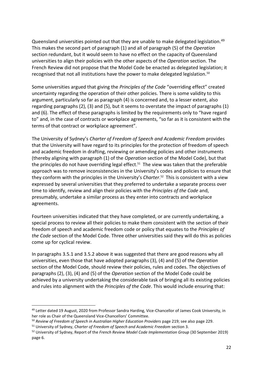Queensland universities pointed out that they are unable to make delegated legislation.<sup>49</sup> This makes the second part of paragraph (1) and all of paragraph (5) of the *Operation* section redundant, but it would seem to have no effect on the capacity of Queensland universities to align their policies with the other aspects of the *Operation* section. The French Review did not propose that the Model Code be enacted as delegated legislation; it recognised that not all institutions have the power to make delegated legislation.<sup>50</sup>

Some universities argued that giving the *Principles of the Code* "overriding effect" created uncertainty regarding the operation of their other policies. There is some validity to this argument, particularly so far as paragraph (4) is concerned and, to a lesser extent, also regarding paragraphs (2), (3) and (5), but it seems to overstate the impact of paragraphs (1) and (6). The effect of these paragraphs is limited by the requirements only to "have regard to" and, in the case of contracts or workplace agreements, "so far as it is consistent with the terms of that contract or workplace agreement".

The University of Sydney's *Charter of Freedom of Speech and Academic Freedom* provides that the University will have regard to its principles for the protection of freedom of speech and academic freedom in drafting, reviewing or amending policies and other instruments (thereby aligning with paragraph (1) of the *Operation* section of the Model Code), but that the principles do not have overriding legal effect. <sup>51</sup> The view was taken that the preferable approach was to remove inconsistencies in the University's codes and policies to ensure that they conform with the principles in the University's *Charter*. <sup>52</sup> This is consistent with a view expressed by several universities that they preferred to undertake a separate process over time to identify, review and align their policies with the *Principles of the Code* and, presumably, undertake a similar process as they enter into contracts and workplace agreements.

Fourteen universities indicated that they have completed, or are currently undertaking, a special process to review all their policies to make them consistent with the section of their freedom of speech and academic freedom code or policy that equates to the *Principles of the Code* section of the Model Code. Three other universities said they will do this as policies come up for cyclical review.

In paragraphs 3.5.1 and 3.5.2 above it was suggested that there are good reasons why all universities, even those that have adopted paragraphs (3), (4) and (5) of the *Operation* section of the Model Code, should review their policies, rules and codes. The objectives of paragraphs (2), (3), (4) and (5) of the *Operation* section of the Model Code could be achieved by a university undertaking the considerable task of bringing all its existing policies and rules into alignment with the *Principles of the Code*. This would include ensuring that:

<sup>49</sup> Letter dated 19 August, 2020 from Professor Sandra Harding, Vice-Chancellor of James Cook University, in her role as Chair of the Queensland Vice-Chancellors' Committee.

<sup>&</sup>lt;sup>50</sup> Review of Freedom of Speech in Australian Higher Education Providers page 219; see also page 229.

<sup>51</sup> University of Sydney, *Charter of Freedom of Speech and Academic Freedom* section 3.

<sup>52</sup> University of Sydney, Report of the *French Review Model Code Implementation Group* (30 September 2019) page 6.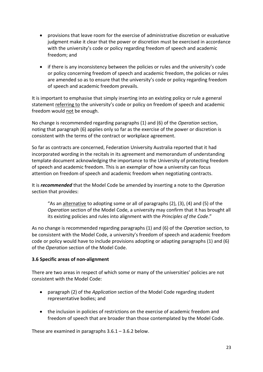- provisions that leave room for the exercise of administrative discretion or evaluative judgment make it clear that the power or discretion must be exercised in accordance with the university's code or policy regarding freedom of speech and academic freedom; and
- if there is any inconsistency between the policies or rules and the university's code or policy concerning freedom of speech and academic freedom, the policies or rules are amended so as to ensure that the university's code or policy regarding freedom of speech and academic freedom prevails.

It is important to emphasise that simply inserting into an existing policy or rule a general statement referring to the university's code or policy on freedom of speech and academic freedom would not be enough.

No change is recommended regarding paragraphs (1) and (6) of the *Operation* section, noting that paragraph (6) applies only so far as the exercise of the power or discretion is consistent with the terms of the contract or workplace agreement.

So far as contracts are concerned, Federation University Australia reported that it had incorporated wording in the recitals in its agreement and memorandum of understanding template document acknowledging the importance to the University of protecting freedom of speech and academic freedom. This is an exemplar of how a university can focus attention on freedom of speech and academic freedom when negotiating contracts.

It is *recommended* that the Model Code be amended by inserting a note to the *Operation* section that provides:

"As an alternative to adopting some or all of paragraphs  $(2)$ ,  $(3)$ ,  $(4)$  and  $(5)$  of the *Operation* section of the Model Code, a university may confirm that it has brought all its existing policies and rules into alignment with the *Principles of the Code*."

As no change is recommended regarding paragraphs (1) and (6) of the *Operation* section, to be consistent with the Model Code, a university's freedom of speech and academic freedom code or policy would have to include provisions adopting or adapting paragraphs (1) and (6) of the *Operation* section of the Model Code.

## **3.6 Specific areas of non-alignment**

There are two areas in respect of which some or many of the universities' policies are not consistent with the Model Code:

- paragraph (2) of the *Application* section of the Model Code regarding student representative bodies; and
- the inclusion in policies of restrictions on the exercise of academic freedom and freedom of speech that are broader than those contemplated by the Model Code.

These are examined in paragraphs  $3.6.1 - 3.6.2$  below.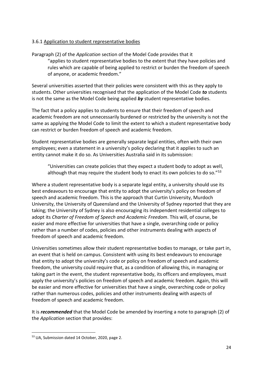#### 3.6.1 Application to student representative bodies

Paragraph (2) of the *Application* section of the Model Code provides that it "applies to student representative bodies to the extent that they have policies and rules which are capable of being applied to restrict or burden the freedom of speech of anyone, or academic freedom."

Several universities asserted that their policies were consistent with this as they apply to students. Other universities recognised that the application of the Model Code *to* students is not the same as the Model Code being applied *by* student representative bodies.

The fact that a policy applies to students to ensure that their freedom of speech and academic freedom are not unnecessarily burdened or restricted by the university is not the same as applying the Model Code to limit the extent to which a student representative body can restrict or burden freedom of speech and academic freedom.

Student representative bodies are generally separate legal entities, often with their own employees; even a statement in a university's policy declaring that it applies to such an entity cannot make it do so. As Universities Australia said in its submission:

"Universities can create policies that they expect a student body to adopt as well, although that may require the student body to enact its own policies to do so."<sup>53</sup>

Where a student representative body is a separate legal entity, a university should use its best endeavours to encourage that entity to adopt the university's policy on freedom of speech and academic freedom. This is the approach that Curtin University, Murdoch University, the University of Queensland and the University of Sydney reported that they are taking; the University of Sydney is also encouraging its independent residential colleges to adopt its *Charter of Freedom of Speech and Academic Freedom*. This will, of course, be easier and more effective for universities that have a single, overarching code or policy rather than a number of codes, policies and other instruments dealing with aspects of freedom of speech and academic freedom.

Universities sometimes allow their student representative bodies to manage, or take part in, an event that is held on campus. Consistent with using its best endeavours to encourage that entity to adopt the university's code or policy on freedom of speech and academic freedom, the university could require that, as a condition of allowing this, in managing or taking part in the event, the student representative body, its officers and employees, must apply the university's policies on freedom of speech and academic freedom. Again, this will be easier and more effective for universities that have a single, overarching code or policy rather than numerous codes, policies and other instruments dealing with aspects of freedom of speech and academic freedom.

It is *recommended* that the Model Code be amended by inserting a note to paragraph (2) of the *Application* section that provides:

<sup>53</sup> UA, Submission dated 14 October, 2020, page 2.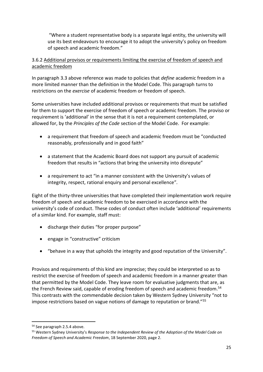"Where a student representative body is a separate legal entity, the university will use its best endeavours to encourage it to adopt the university's policy on freedom of speech and academic freedom."

## 3.6.2 Additional provisos or requirements limiting the exercise of freedom of speech and academic freedom

In paragraph 3.3 above reference was made to policies that *define* academic freedom in a more limited manner than the definition in the Model Code. This paragraph turns to restrictions on the *exercise* of academic freedom or freedom of speech.

Some universities have included additional provisos or requirements that must be satisfied for them to support the exercise of freedom of speech or academic freedom. The proviso or requirement is 'additional' in the sense that it is not a requirement contemplated, or allowed for, by the *Principles of the Code* section of the Model Code. For example:

- a requirement that freedom of speech and academic freedom must be "conducted reasonably, professionally and in good faith"
- a statement that the Academic Board does not support any pursuit of academic freedom that results in "actions that bring the university into disrepute"
- a requirement to act "in a manner consistent with the University's values of integrity, respect, rational enquiry and personal excellence"*.*

Eight of the thirty-three universities that have completed their implementation work require freedom of speech and academic freedom to be exercised in accordance with the university's code of conduct. These codes of conduct often include 'additional' requirements of a similar kind. For example, staff must:

- discharge their duties "for proper purpose"
- engage in "constructive" criticism
- "behave in a way that upholds the integrity and good reputation of the University".

Provisos and requirements of this kind are imprecise; they could be interpreted so as to restrict the exercise of freedom of speech and academic freedom in a manner greater than that permitted by the Model Code. They leave room for evaluative judgments that are, as the French Review said, capable of eroding freedom of speech and academic freedom.<sup>54</sup> This contrasts with the commendable decision taken by Western Sydney University "not to impose restrictions based on vague notions of damage to reputation or brand."<sup>55</sup>

<sup>54</sup> See paragraph 2.5.4 above.

<sup>55</sup> Western Sydney University's *Response to the Independent Review of the Adoption of the Model Code on Freedom of Speech and Academic Freedom*, 18 September 2020, page 2.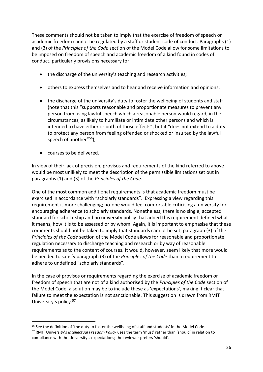These comments should not be taken to imply that the exercise of freedom of speech or academic freedom cannot be regulated by a staff or student code of conduct. Paragraphs (1) and (3) of the *Principles of the Code* section of the Model Code allow for some limitations to be imposed on freedom of speech and academic freedom of a kind found in codes of conduct, particularly provisions necessary for:

- the discharge of the university's teaching and research activities;
- others to express themselves and to hear and receive information and opinions;
- the discharge of the university's duty to foster the wellbeing of students and staff (note that this "supports reasonable and proportionate measures to prevent any person from using lawful speech which a reasonable person would regard, in the circumstances, as likely to humiliate or intimidate other persons and which is intended to have either or both of those effects", but it "does not extend to a duty to protect any person from feeling offended or shocked or insulted by the lawful speech of another"<sup>56</sup>);
- courses to be delivered.

In view of their lack of precision, provisos and requirements of the kind referred to above would be most unlikely to meet the description of the permissible limitations set out in paragraphs (1) and (3) of the *Principles of the Code*.

One of the most common additional requirements is that academic freedom must be exercised in accordance with "scholarly standards". Expressing a view regarding this requirement is more challenging; no-one would feel comfortable criticising a university for encouraging adherence to scholarly standards. Nonetheless, there is no single, accepted standard for scholarship and no university policy that added this requirement defined what it means, how it is to be assessed or by whom. Again, it is important to emphasise that these comments should not be taken to imply that standards cannot be set; paragraph (3) of the *Principles of the Code* section of the Model Code allows for reasonable and proportionate regulation necessary to discharge teaching and research or by way of reasonable requirements as to the content of courses. It would, however, seem likely that more would be needed to satisfy paragraph (3) of the *Principles of the Code* than a requirement to adhere to undefined "scholarly standards".

In the case of provisos or requirements regarding the exercise of academic freedom or freedom of speech that are not of a kind authorised by the *Principles of the Code* section of the Model Code, a solution may be to include these as 'expectations', making it clear that failure to meet the expectation is not sanctionable. This suggestion is drawn from RMIT University's policy.<sup>57</sup>

<sup>&</sup>lt;sup>56</sup> See the definition of 'the duty to foster the wellbeing of staff and students' in the Model Code. <sup>57</sup> RMIT University's *Intellectual Freedom Policy* uses the term 'must' rather than 'should' in relation to compliance with the University's expectations; the reviewer prefers 'should'.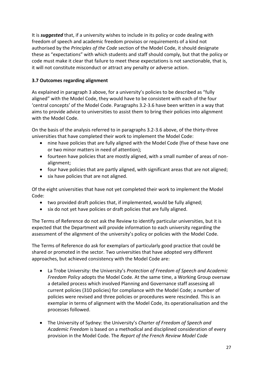It is *suggested* that, if a university wishes to include in its policy or code dealing with freedom of speech and academic freedom provisos or requirements of a kind not authorised by the *Principles of the Code* section of the Model Code, it should designate these as "expectations" with which students and staff should comply, but that the policy or code must make it clear that failure to meet these expectations is not sanctionable, that is, it will not constitute misconduct or attract any penalty or adverse action.

#### **3.7 Outcomes regarding alignment**

As explained in paragraph 3 above, for a university's policies to be described as "fully aligned" with the Model Code, they would have to be consistent with each of the four 'central concepts' of the Model Code. Paragraphs 3.2-3.6 have been written in a way that aims to provide advice to universities to assist them to bring their policies into alignment with the Model Code.

On the basis of the analysis referred to in paragraphs 3.2-3.6 above, of the thirty-three universities that have completed their work to implement the Model Code:

- nine have policies that are fully aligned with the Model Code (five of these have one or two minor matters in need of attention);
- fourteen have policies that are mostly aligned, with a small number of areas of nonalignment;
- four have policies that are partly aligned, with significant areas that are not aligned;
- six have policies that are not aligned.

Of the eight universities that have not yet completed their work to implement the Model Code:

- two provided draft policies that, if implemented, would be fully aligned;
- six do not yet have policies or draft policies that are fully aligned.

The Terms of Reference do not ask the Review to identify particular universities, but it is expected that the Department will provide information to each university regarding the assessment of the alignment of the university's policy or policies with the Model Code.

The Terms of Reference do ask for exemplars of particularly good practice that could be shared or promoted in the sector. Two universities that have adopted very different approaches, but achieved consistency with the Model Code are:

- La Trobe University: the University's *Protection of Freedom of Speech and Academic Freedom Policy* adopts the Model Code. At the same time, a Working Group oversaw a detailed process which involved Planning and Governance staff assessing all current policies (310 policies) for compliance with the Model Code; a number of policies were revised and three policies or procedures were rescinded. This is an exemplar in terms of alignment with the Model Code, its operationalisation and the processes followed.
- The University of Sydney: the University's *Charter of Freedom of Speech and Academic Freedom* is based on a methodical and disciplined consideration of every provision in the Model Code. The *Report of the French Review Model Code*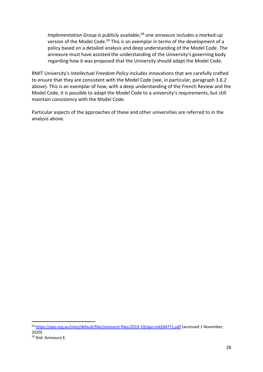*Implementation Group* is publicly available; <sup>58</sup> one annexure includes a marked-up version of the Model Code.<sup>59</sup> This is an exemplar in terms of the development of a policy based on a detailed analysis and deep understanding of the Model Code. The annexure must have assisted the understanding of the University's governing body regarding how it was proposed that the University should adapt the Model Code.

RMIT University's *Intellectual Freedom Policy* includes innovations that are carefully crafted to ensure that they are consistent with the Model Code (see, in particular, paragraph 3.6.2 above). This is an exemplar of how, with a deep understanding of the French Review and the Model Code, it is possible to adapt the Model Code to a university's requirements, but still maintain consistency with the Model Code.

Particular aspects of the approaches of these and other universities are referred to in the analysis above.

<sup>58</sup> <https://apo.org.au/sites/default/files/resource-files/2019-10/apo-nid264771.pdf> (accessed 1 November, 2020).

<sup>59</sup> Ibid. Annexure E.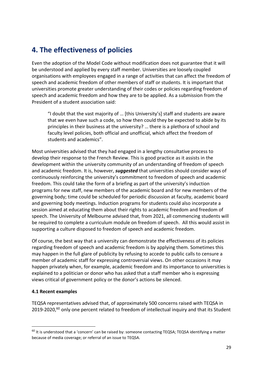# **4. The effectiveness of policies**

Even the adoption of the Model Code without modification does not guarantee that it will be understood and applied by every staff member. Universities are loosely coupled organisations with employees engaged in a range of activities that can affect the freedom of speech and academic freedom of other members of staff or students. It is important that universities promote greater understanding of their codes or policies regarding freedom of speech and academic freedom and how they are to be applied. As a submission from the President of a student association said:

"I doubt that the vast majority of … [this University's] staff and students are aware that we even have such a code, so how then could they be expected to abide by its principles in their business at the university? … there is a plethora of school and faculty level policies, both official and unofficial, which affect the freedom of students and academics".

Most universities advised that they had engaged in a lengthy consultative process to develop their response to the French Review. This is good practice as it assists in the development within the university community of an understanding of freedom of speech and academic freedom. It is, however, *suggested* that universities should consider ways of continuously reinforcing the university's commitment to freedom of speech and academic freedom. This could take the form of a briefing as part of the university's induction programs for new staff, new members of the academic board and for new members of the governing body; time could be scheduled for periodic discussion at faculty, academic board and governing body meetings. Induction programs for students could also incorporate a session aimed at educating them about their rights to academic freedom and freedom of speech. The University of Melbourne advised that, from 2021, all commencing students will be required to complete a curriculum module on freedom of speech. All this would assist in supporting a culture disposed to freedom of speech and academic freedom.

Of course, the best way that a university can demonstrate the effectiveness of its policies regarding freedom of speech and academic freedom is by applying them. Sometimes this may happen in the full glare of publicity by refusing to accede to public calls to censure a member of academic staff for expressing controversial views. On other occasions it may happen privately when, for example, academic freedom and its importance to universities is explained to a politician or donor who has asked that a staff member who is expressing views critical of government policy or the donor's actions be silenced.

#### **4.1 Recent examples**

TEQSA representatives advised that, of approximately 500 concerns raised with TEQSA in 2019-2020,<sup>60</sup> only one percent related to freedom of intellectual inquiry and that its Student

 $60$  It is understood that a 'concern' can be raised by: someone contacting TEQSA; TEQSA identifying a matter because of media coverage; or referral of an issue to TEQSA.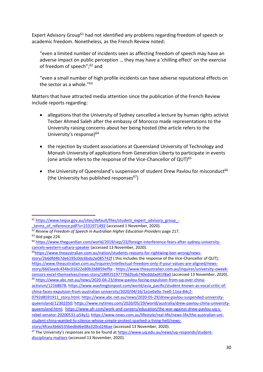Expert Advisory Group<sup>61</sup> had not identified any problems regarding freedom of speech or academic freedom. Nonetheless, as the French Review noted:

"even a limited number of incidents seen as affecting freedom of speech may have an adverse impact on public perception … they may have a 'chilling effect' on the exercise of freedom of speech"; <sup>62</sup> and

"even a small number of high profile incidents can have adverse reputational effects on the sector as a whole."<sup>63</sup>

Matters that have attracted media attention since the publication of the French Review include reports regarding:

- allegations that the University of Sydney cancelled a lecture by human rights activist Tecber Ahmed Saleh after the embassy of [Morocco](https://www.theguardian.com/world/morocco) made representations to the University raising concerns about her being hosted (the article refers to the University's response)<sup>64</sup>
- the rejection by student associations at Queensland University of Technology and Monash University of applications from Generation Liberty to participate in events (one article refers to the response of the Vice-Chancellor of QUT)<sup>65</sup>
- the University of Queensland's suspension of student Drew Pavlou for misconduct<sup>66</sup> (the University has published responses $67$ )

<sup>61</sup> [https://www.teqsa.gov.au/sites/default/files/student\\_expert\\_advisory\\_group\\_](https://www.teqsa.gov.au/sites/default/files/student_expert_advisory_group_-_terms_of_reference.pdf?v=1531971492) terms\_of\_reference.pdf?v=1531971492 (accessed 1 November, 2020).

<sup>62</sup> *Review of Freedom of Speech in Australian Higher Education Providers* page 217.

 $63$  Ibid page 224.

<sup>64</sup> [https://www.theguardian.com/world/2019/sep/22/foreign-interference-fears-after-sydney-university](https://www.theguardian.com/world/2019/sep/22/foreign-interference-fears-after-sydney-university-cancels-western-sahara-speaker)[cancels-western-sahara-speaker](https://www.theguardian.com/world/2019/sep/22/foreign-interference-fears-after-sydney-university-cancels-western-sahara-speaker) (accessed 13 November, 2020).

<sup>65</sup>[https://www.theaustralian.com.au/nation/students-reasons-for-rightwing-ban-wrong/news-](https://www.theaustralian.com.au/nation/students-reasons-for-rightwing-ban-wrong/news-story/2b6dfd4b7de6195c0dc6bda2e085742f)

[story/2b6dfd4b7de6195c0dc6bda2e085742f](https://www.theaustralian.com.au/nation/students-reasons-for-rightwing-ban-wrong/news-story/2b6dfd4b7de6195c0dc6bda2e085742f) ( this includes the response of the Vice-Chancellor of QUT); [https://www.theaustralian.com.au/inquirer/intellectual-freedom-only-if-your-values-are-aligned/news](https://www.theaustralian.com.au/inquirer/intellectual-freedom-only-if-your-values-are-aligned/news-story/6665eedc434bc01622e80b2b8859ef9a)[story/6665eedc434bc01622e80b2b8859ef9a](https://www.theaustralian.com.au/inquirer/intellectual-freedom-only-if-your-values-are-aligned/news-story/6665eedc434bc01622e80b2b8859ef9a) ; [https://www.theaustralian.com.au/inquirer/university-oweek](https://www.theaustralian.com.au/inquirer/university-oweek-censors-excel-themselves/news-story/189f25197779d2bab740edddad41f8a0)[censors-excel-themselves/news-story/189f25197779d2bab740edddad41f8a0](https://www.theaustralian.com.au/inquirer/university-oweek-censors-excel-themselves/news-story/189f25197779d2bab740edddad41f8a0) (accessed 13 November, 2020). <sup>66</sup> [https://www.abc.net.au/news/2020-04-23/drew-pavlou-facing-expulsion-from-uq-over-china-](https://www.abc.net.au/news/2020-04-23/drew-pavlou-facing-expulsion-from-uq-over-china-activism/12168678)

[activism/12168678;](https://www.abc.net.au/news/2020-04-23/drew-pavlou-facing-expulsion-from-uq-over-china-activism/12168678) [https://www.washingtonpost.com/world/asia\\_pacific/student-known-as-vocal-critic-of](https://www.washingtonpost.com/world/asia_pacific/student-known-as-vocal-critic-of-china-faces-expulsion-from-australian-university/2020/04/16/1a1e0a9a-7ee0-11ea-84c2-0792d8591911_story.html)[china-faces-expulsion-from-australian-university/2020/04/16/1a1e0a9a-7ee0-11ea-84c2-](https://www.washingtonpost.com/world/asia_pacific/student-known-as-vocal-critic-of-china-faces-expulsion-from-australian-university/2020/04/16/1a1e0a9a-7ee0-11ea-84c2-0792d8591911_story.html)

[<sup>0792</sup>d8591911\\_story.html;](https://www.washingtonpost.com/world/asia_pacific/student-known-as-vocal-critic-of-china-faces-expulsion-from-australian-university/2020/04/16/1a1e0a9a-7ee0-11ea-84c2-0792d8591911_story.html) [https://www.abc.net.au/news/2020-05-29/drew-pavlou-suspended-university](https://www.abc.net.au/news/2020-05-29/drew-pavlou-suspended-university-queensland/12302350)[queensland/12302350;](https://www.abc.net.au/news/2020-05-29/drew-pavlou-suspended-university-queensland/12302350) [https://www.nytimes.com/2020/05/29/world/australia/drew-pavlou-china-university](https://www.nytimes.com/2020/05/29/world/australia/drew-pavlou-china-university-queensland.html)[queensland.html;](https://www.nytimes.com/2020/05/29/world/australia/drew-pavlou-china-university-queensland.html) [https://www.afr.com/work-and-careers/education/the-war-against-drew-pavlou-uq-s](https://www.afr.com/work-and-careers/education/the-war-against-drew-pavlou-uq-s-rebel-senator-20200531-p54y1j)[rebel-senator-20200531-p54y1j;](https://www.afr.com/work-and-careers/education/the-war-against-drew-pavlou-uq-s-rebel-senator-20200531-p54y1j) [https://www.news.com.au/lifestyle/real-life/news-life/the-australian-uni](https://www.news.com.au/lifestyle/real-life/news-life/the-australian-uni-student-china-wanted-to-silence-whose-simple-protest-sparked-a-living-hell/news-story/4fcea3b66535bed6d6e08a320cd246ae)[student-china-wanted-to-silence-whose-simple-protest-sparked-a-living-hell/news-](https://www.news.com.au/lifestyle/real-life/news-life/the-australian-uni-student-china-wanted-to-silence-whose-simple-protest-sparked-a-living-hell/news-story/4fcea3b66535bed6d6e08a320cd246ae)

[story/4fcea3b66535bed6d6e08a320cd246ae](https://www.news.com.au/lifestyle/real-life/news-life/the-australian-uni-student-china-wanted-to-silence-whose-simple-protest-sparked-a-living-hell/news-story/4fcea3b66535bed6d6e08a320cd246ae) (accessed 13 November, 2020).

<sup>&</sup>lt;sup>67</sup> The University's responses are to be found at [https://www.uq.edu.au/news/uq-responds/student](https://www.uq.edu.au/news/uq-responds/student-disciplinary-matters)[disciplinary-matters](https://www.uq.edu.au/news/uq-responds/student-disciplinary-matters) (accessed 13 November, 2020).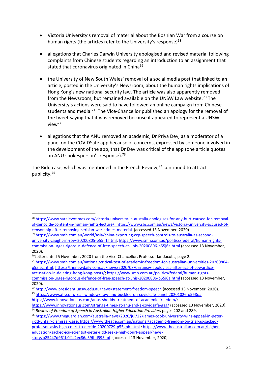- Victoria University's removal of material about the Bosnian War from a course on human rights (the articles refer to the University's response)<sup>68</sup>
- allegations that Charles Darwin University apologised and revised material following complaints from Chinese students regarding an introduction to an assignment that stated that coronavirus originated in China<sup>69</sup>
- the University of New South Wales' removal of a social media post that linked to an article, posted in the University's Newsroom, about the human rights implications of Hong Kong's new national security law. The article was also apparently removed from the Newsroom, but remained available on the UNSW Law website.<sup>70</sup> The University's actions were said to have followed an online campaign from Chinese students and media.<sup>71</sup> The Vice-Chancellor published an apology for the removal of the tweet saying that it was removed because it appeared to represent a UNSW view<sup>72</sup>
- allegations that the ANU removed an academic, Dr Priya Dev, as a moderator of a panel on the COVIDSafe app because of concerns, expressed by someone involved in the development of the app, that Dr Dev was critical of the app (one article quotes an ANU spokesperson's response).<sup>73</sup>

The Ridd case, which was mentioned in the French Review, $74$  continued to attract publicity.<sup>75</sup>

<sup>68</sup> [https://www.sarajevotimes.com/victoria-university-in-austalia-apologises-for-any-hurt-caused-for-removal](https://www.sarajevotimes.com/victoria-university-in-austalia-apologises-for-any-hurt-caused-for-removal-of-genocide-content-in-human-rights-lecture/)[of-genocide-content-in-human-rights-lecture/;](https://www.sarajevotimes.com/victoria-university-in-austalia-apologises-for-any-hurt-caused-for-removal-of-genocide-content-in-human-rights-lecture/) [https://www.sbs.com.au/news/victoria-university-accused-of](https://www.sbs.com.au/news/victoria-university-accused-of-censorship-after-removing-serbian-war-crimes-material)[censorship-after-removing-serbian-war-crimes-material](https://www.sbs.com.au/news/victoria-university-accused-of-censorship-after-removing-serbian-war-crimes-material) (accessed 13 November, 2020).

<sup>69</sup> [https://www.smh.com.au/world/asia/china-exporting-ccp-speech-controls-to-australia-as-second](https://www.smh.com.au/world/asia/china-exporting-ccp-speech-controls-to-australia-as-second-university-caught-in-row-20200805-p55irf.html)[university-caught-in-row-20200805-p55irf.html;](https://www.smh.com.au/world/asia/china-exporting-ccp-speech-controls-to-australia-as-second-university-caught-in-row-20200805-p55irf.html) [https://www.smh.com.au/politics/federal/human-rights](https://www.smh.com.au/politics/federal/human-rights-commission-urges-rigorous-defence-of-free-speech-at-unis-20200806-p55j6a.html)[commission-urges-rigorous-defence-of-free-speech-at-unis-20200806-p55j6a.html](https://www.smh.com.au/politics/federal/human-rights-commission-urges-rigorous-defence-of-free-speech-at-unis-20200806-p55j6a.html) (accessed 13 November, 2020).

 $70$ Letter dated 5 November, 2020 from the Vice-Chancellor, Professor Ian Jacobs, page 2.

<sup>71</sup> [https://www.smh.com.au/national/critical-test-of-academic-freedom-for-australian-universities-20200804](https://www.smh.com.au/national/critical-test-of-academic-freedom-for-australian-universities-20200804-p55iec.html) [p55iec.html;](https://www.smh.com.au/national/critical-test-of-academic-freedom-for-australian-universities-20200804-p55iec.html) [https://thenewdaily.com.au/news/2020/08/05/unsw-apologises-after-act-of-cowardice](https://thenewdaily.com.au/news/2020/08/05/unsw-apologises-after-act-of-cowardice-accusation-in-deleting-hong-kong-posts/)[accusation-in-deleting-hong-kong-posts/;](https://thenewdaily.com.au/news/2020/08/05/unsw-apologises-after-act-of-cowardice-accusation-in-deleting-hong-kong-posts/) [https://www.smh.com.au/politics/federal/human-rights](https://www.smh.com.au/politics/federal/human-rights-commission-urges-rigorous-defence-of-free-speech-at-unis-20200806-p55j6a.html)[commission-urges-rigorous-defence-of-free-speech-at-unis-20200806-p55j6a.html](https://www.smh.com.au/politics/federal/human-rights-commission-urges-rigorous-defence-of-free-speech-at-unis-20200806-p55j6a.html) (accessed 13 November, 2020).

<sup>72</sup> <http://www.president.unsw.edu.au/news/statement-freedom-speech> (accessed 13 November, 2020). <sup>73</sup> [https://www.afr.com/rear-window/how-anu-buckled-on-covidsafe-panel-20201026-p568oa;](https://www.afr.com/rear-window/how-anu-buckled-on-covidsafe-panel-20201026-p568oa)

[https://www.innovationaus.com/anus-shoddy-treatment-of-academic-freedom/;](https://www.innovationaus.com/anus-shoddy-treatment-of-academic-freedom/)

<https://www.innovationaus.com/strange-times-at-anu-and-a-covidsafe-gag/> (accessed 13 November, 2020). <sup>74</sup> Review of Freedom of Speech in Australian Higher Education Providers pages 202 and 289.

<sup>75</sup> [https://www.theguardian.com/australia-news/2020/jul/22/james-cook-university-wins-appeal-in-peter](https://www.theguardian.com/australia-news/2020/jul/22/james-cook-university-wins-appeal-in-peter-ridd-unfair-dismissal-case)[ridd-unfair-dismissal-case;](https://www.theguardian.com/australia-news/2020/jul/22/james-cook-university-wins-appeal-in-peter-ridd-unfair-dismissal-case) [https://www.theage.com.au/national/academic-freedom-on-trial-as-sacked](https://www.theage.com.au/national/academic-freedom-on-trial-as-sacked-professor-asks-high-court-to-decide-20200729-p55gph.html)[professor-asks-high-court-to-decide-20200729-p55gph.html](https://www.theage.com.au/national/academic-freedom-on-trial-as-sacked-professor-asks-high-court-to-decide-20200729-p55gph.html) [; https://www.theaustralian.com.au/higher](https://www.theaustralian.com.au/higher-education/sacked-jcu-scientist-peter-ridd-seeks-high-court-appeal/news-story/b25447d961b0f1f2ec86a39fbd593abf)[education/sacked-jcu-scientist-peter-ridd-seeks-high-court-appeal/news](https://www.theaustralian.com.au/higher-education/sacked-jcu-scientist-peter-ridd-seeks-high-court-appeal/news-story/b25447d961b0f1f2ec86a39fbd593abf)[story/b25447d961b0f1f2ec86a39fbd593abf](https://www.theaustralian.com.au/higher-education/sacked-jcu-scientist-peter-ridd-seeks-high-court-appeal/news-story/b25447d961b0f1f2ec86a39fbd593abf) (accessed 13 November, 2020).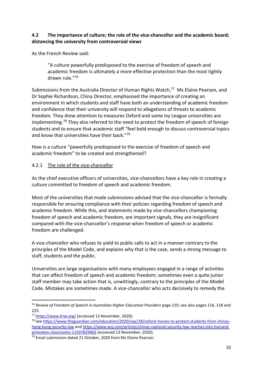#### **4.2 The importance of culture; the role of the vice-chancellor and the academic board; distancing the university from controversial views**

As the French Review said:

"A culture powerfully predisposed to the exercise of freedom of speech and academic freedom is ultimately a more effective protection than the most tightly drawn rule."<sup>76</sup>

Submissions from the Australia Director of Human Rights Watch,<sup>77</sup> Ms Elaine Pearson, and Dr Sophie Richardson, China Director, emphasised the importance of creating an environment in which students and staff have both an understanding of academic freedom and confidence that their university will respond to allegations of threats to academic freedom. They drew attention to measures Oxford and some Ivy League universities are implementing.<sup>78</sup> They also referred to the need to protect the freedom of speech of foreign students and to ensure that academic staff "feel bold enough to discuss controversial topics and know that universities have their back."<sup>79</sup>

How is a culture "powerfully predisposed to the exercise of freedom of speech and academic freedom" to be created and strengthened?

#### 4.2.1 The role of the vice-chancellor

As the chief executive officers of universities, vice-chancellors have a key role in creating a culture committed to freedom of speech and academic freedom.

Most of the universities that made submissions advised that the vice-chancellor is formally responsible for ensuring compliance with their policies regarding freedom of speech and academic freedom. While this, and statements made by vice-chancellors championing freedom of speech and academic freedom, are important signals, they are insignificant compared with the vice-chancellor's response when freedom of speech or academic freedom are challenged.

A vice-chancellor who refuses to yield to public calls to act in a manner contrary to the principles of the Model Code, and explains why that is the case, sends a strong message to staff, students and the public.

Universities are large organisations with many employees engaged in a range of activities that can affect freedom of speech and academic freedom; sometimes even a quite junior staff member may take action that is, unwittingly, contrary to the principles of the Model Code. Mistakes are sometimes made. A vice-chancellor who acts decisively to remedy the

<sup>&</sup>lt;sup>76</sup> Review of Freedom of Speech in Australian Higher Education Providers page 219; see also pages 116, 118 and 225.

<sup>77</sup> <https://www.hrw.org/> (accessed 13 November, 2020).

<sup>78</sup> Se[e https://www.theguardian.com/education/2020/sep/28/oxford-moves-to-protect-students-from-chinas](https://www.theguardian.com/education/2020/sep/28/oxford-moves-to-protect-students-from-chinas-hong-kong-security-law)[hong-kong-security-law](https://www.theguardian.com/education/2020/sep/28/oxford-moves-to-protect-students-from-chinas-hong-kong-security-law) an[d https://www.wsj.com/articles/chinas-national-security-law-reaches-into-harvard](https://www.wsj.com/articles/chinas-national-security-law-reaches-into-harvard-princeton-classrooms-11597829402)[princeton-classrooms-11597829402](https://www.wsj.com/articles/chinas-national-security-law-reaches-into-harvard-princeton-classrooms-11597829402) (accessed 13 November, 2020).

<sup>79</sup> Email submission dated 21 October, 2020 from Ms Elaine Pearson.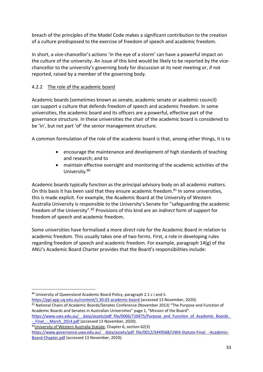breach of the principles of the Model Code makes a significant contribution to the creation of a culture predisposed to the exercise of freedom of speech and academic freedom.

In short, a vice-chancellor's actions 'in the eye of a storm' can have a powerful impact on the culture of the university. An issue of this kind would be likely to be reported by the vicechancellor to the university's governing body for discussion at its next meeting or, if not reported, raised by a member of the governing body.

## 4.2.2 The role of the academic board

Academic boards (sometimes known as senate, academic senate or academic council) can support a culture that defends freedom of speech and academic freedom. In some universities, the academic board and its officers are a powerful, effective part of the governance structure. In these universities the chair of the academic board is considered to be 'in', but not part 'of' the senior management structure.

A common formulation of the role of the academic board is that, among other things, it is to

- encourage the maintenance and development of high standards of teaching and research; and to
- maintain effective oversight and monitoring of the academic activities of the University.<sup>80</sup>

Academic boards typically function as the principal advisory body on all academic matters. On this basis it has been said that they ensure academic freedom. $81$  In some universities, this is made explicit. For example, the Academic Board at the University of Western Australia University is responsible to the University's Senate for "safeguarding the academic freedom of the University". <sup>82</sup> Provisions of this kind are an *indirect* form of support for freedom of speech and academic freedom.

Some universities have formalised a more *direct* role for the Academic Board in relation to academic freedom. This usually takes one of two forms. First, a role in developing rules regarding freedom of speech and academic freedom. For example, paragraph 14(g) of the ANU's Academic Board Charter provides that the Board's responsibilities include:

<sup>80</sup> University of Queensland Academic Board Policy, paragraph 2.1 c i and ii.

<https://ppl.app.uq.edu.au/content/1.30.03-academic-board> (accessed 13 November, 2020).

<sup>81</sup> National Chairs of Academic Boards/Senates Conference (November 2013) "The Purpose and Function of Academic Boards and Senates in Australian Universities" page 1, "Mission of the Board".

https://www.uws.edu.au/ data/assets/pdf file/0006/710475/Purpose and Function of Academic Boards - Final - March 2014.pdf (accessed 13 November, 2020).

<sup>82</sup> University of Western Australia Statute, Chapter 6, section 62(3)

https://www.governance.uwa.edu.au/ data/assets/pdf file/0012/3449568/UWA-Statute-Final- -Academic-[Board-Chapter.pdf](https://www.governance.uwa.edu.au/__data/assets/pdf_file/0012/3449568/UWA-Statute-Final-_-Academic-Board-Chapter.pdf) (accessed 13 November, 2020).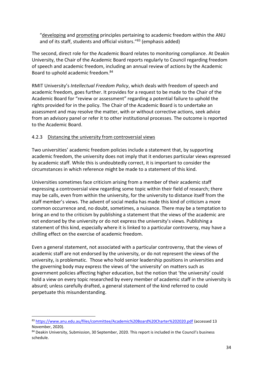"developing and promoting principles pertaining to academic freedom within the ANU and of its staff, students and official visitors."<sup>83</sup> (emphasis added)

The second, direct role for the Academic Board relates to monitoring compliance. At Deakin University, the Chair of the Academic Board reports regularly to Council regarding freedom of speech and academic freedom, including an annual review of actions by the Academic Board to uphold academic freedom.<sup>84</sup>

RMIT University's *Intellectual Freedom Policy*, which deals with freedom of speech and academic freedom, goes further. It provides for a request to be made to the Chair of the Academic Board for "review or assessment" regarding a potential failure to uphold the rights provided for in the policy. The Chair of the Academic Board is to undertake an assessment and may resolve the matter, with or without corrective actions, seek advice from an advisory panel or refer it to other institutional processes. The outcome is reported to the Academic Board.

#### 4.2.3 Distancing the university from controversial views

Two universities' academic freedom policies include a statement that, by supporting academic freedom, the university does not imply that it endorses particular views expressed by academic staff. While this is undoubtedly correct, it is important to consider the circumstances in which reference might be made to a statement of this kind.

Universities sometimes face criticism arising from a member of their academic staff expressing a controversial view regarding some topic within their field of research; there may be calls, even from within the university, for the university to distance itself from the staff member's views. The advent of social media has made this kind of criticism a more common occurrence and, no doubt, sometimes, a nuisance. There may be a temptation to bring an end to the criticism by publishing a statement that the views of the academic are not endorsed by the university or do not express the university's views. Publishing a statement of this kind, especially where it is linked to a particular controversy, may have a chilling effect on the exercise of academic freedom.

Even a general statement, not associated with a particular controversy, that the views of academic staff are not endorsed by the university, or do not represent the views of the university, is problematic. Those who hold senior leadership positions in universities and the governing body may express the views of 'the university' on matters such as government policies affecting higher education, but the notion that 'the university' could hold a view on every topic researched by every member of academic staff in the university is absurd; unless carefully drafted, a general statement of the kind referred to could perpetuate this misunderstanding.

<sup>83</sup> <https://www.anu.edu.au/files/committee/Academic%20Board%20Charter%202020.pdf> (accessed 13 November, 2020).

<sup>84</sup> Deakin University, Submission, 30 September, 2020. This report is included in the Council's business schedule.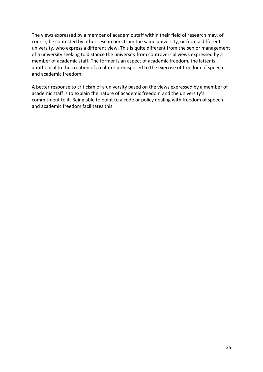The views expressed by a member of academic staff within their field of research may, of course, be contested by other researchers from the same university, or from a different university, who express a different view. This is quite different from the senior management of a university seeking to distance the university from controversial views expressed by a member of academic staff. The former is an aspect of academic freedom, the latter is antithetical to the creation of a culture predisposed to the exercise of freedom of speech and academic freedom.

A better response to criticism of a university based on the views expressed by a member of academic staff is to explain the nature of academic freedom and the university's commitment to it. Being able to point to a code or policy dealing with freedom of speech and academic freedom facilitates this.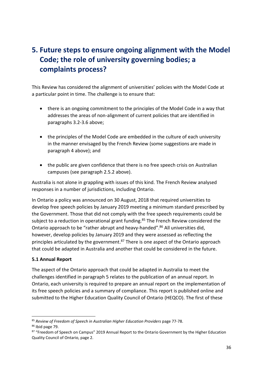# **5. Future steps to ensure ongoing alignment with the Model Code; the role of university governing bodies; a complaints process?**

This Review has considered the alignment of universities' policies with the Model Code at a particular point in time. The challenge is to ensure that:

- there is an ongoing commitment to the principles of the Model Code in a way that addresses the areas of non-alignment of current policies that are identified in paragraphs 3.2-3.6 above;
- the principles of the Model Code are embedded in the culture of each university in the manner envisaged by the French Review (some suggestions are made in paragraph 4 above); and
- the public are given confidence that there is no free speech crisis on Australian campuses (see paragraph 2.5.2 above).

Australia is not alone in grappling with issues of this kind. The French Review analysed responses in a number of jurisdictions, including Ontario.

In Ontario a policy was announced on 30 August, 2018 that required universities to develop free speech policies by January 2019 meeting a minimum standard prescribed by the Government. Those that did not comply with the free speech requirements could be subject to a reduction in operational grant funding.<sup>85</sup> The French Review considered the Ontario approach to be "rather abrupt and heavy-handed".<sup>86</sup> All universities did, however, develop policies by January 2019 and they were assessed as reflecting the principles articulated by the government.<sup>87</sup> There is one aspect of the Ontario approach that could be adapted in Australia and another that could be considered in the future.

## **5.1 Annual Report**

The aspect of the Ontario approach that could be adapted in Australia to meet the challenges identified in paragraph 5 relates to the publication of an annual report. In Ontario, each university is required to prepare an annual report on the implementation of its free speech policies and a summary of compliance. This report is published online and submitted to the Higher Education Quality Council of Ontario (HEQCO). The first of these

<sup>85</sup> *Review of Freedom of Speech in Australian Higher Education Providers* page 77-78.

<sup>86</sup> Ibid page 79.

<sup>87 &</sup>quot;Freedom of Speech on Campus" 2019 Annual Report to the Ontario Government by the Higher Education Quality Council of Ontario, page 2.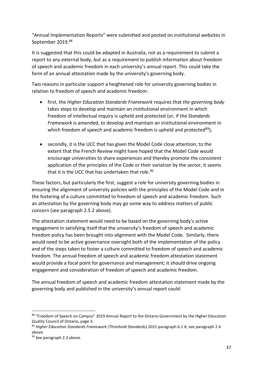"Annual Implementation Reports" were submitted and posted on institutional websites in September 2019.88

It is suggested that this could be adapted in Australia, not as a requirement to submit a report to any external body, but as a requirement to publish information about freedom of speech and academic freedom in each university's annual report. This could take the form of an annual attestation made by the university's governing body.

Two reasons in particular support a heightened role for university governing bodies in relation to freedom of speech and academic freedom:

- first, the *Higher Education Standards Framework* requires that *the governing body* takes steps to develop and maintain an institutional environment in which freedom of intellectual inquiry is upheld and protected (or, if the *Standards Framework* is amended, to develop and maintain an institutional environment in which freedom of speech and academic freedom is upheld and protected<sup>89</sup>);
- secondly, it is the UCC that has given the Model Code close attention; to the extent that the French Review might have hoped that the Model Code would encourage universities to share experiences and thereby promote the consistent application of the principles of the Code or their variation by the sector, it seems that it is the UCC that has undertaken that role.<sup>90</sup>

These factors, but particularly the first, suggest a role for university governing bodies in ensuring the alignment of university policies with the principles of the Model Code and in the fostering of a culture committed to freedom of speech and academic freedom. Such an attestation by the governing body may go some way to address matters of public concern (see paragraph 2.5.2 above).

The attestation statement would need to be based on the governing body's active engagement in satisfying itself that the university's freedom of speech and academic freedom policy has been brought into alignment with the Model Code. Similarly, there would need to be active governance oversight both of the implementation of the policy and of the steps taken to foster a culture committed to freedom of speech and academic freedom. The annual freedom of speech and academic freedom attestation statement would provide a focal point for governance and management; it should drive ongoing engagement and consideration of freedom of speech and academic freedom.

The annual freedom of speech and academic freedom attestation statement made by the governing body and published in the university's annual report could:

<sup>88 &</sup>quot;Freedom of Speech on Campus" 2019 Annual Report to the Ontario Government by the Higher Education Quality Council of Ontario, page 3.

<sup>89</sup> *Higher Education Standards Framework (Threshold Standards) 2015* paragraph 6.1 4; see paragraph 2.4 above.

<sup>90</sup> See paragraph 2.3 above.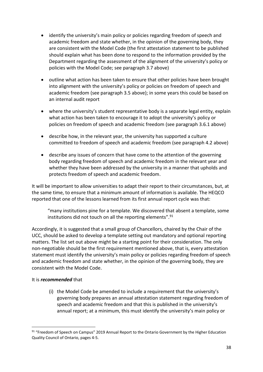- identify the university's main policy or policies regarding freedom of speech and academic freedom and state whether, in the opinion of the governing body, they are consistent with the Model Code (the first attestation statement to be published should explain what has been done to respond to the information provided by the Department regarding the assessment of the alignment of the university's policy or policies with the Model Code; see paragraph 3.7 above)
- outline what action has been taken to ensure that other policies have been brought into alignment with the university's policy or policies on freedom of speech and academic freedom (see paragraph 3.5 above); in some years this could be based on an internal audit report
- where the university's student representative body is a separate legal entity, explain what action has been taken to encourage it to adopt the university's policy or policies on freedom of speech and academic freedom (see paragraph 3.6.1 above)
- describe how, in the relevant year, the university has supported a culture committed to freedom of speech and academic freedom (see paragraph 4.2 above)
- describe any issues of concern that have come to the attention of the governing body regarding freedom of speech and academic freedom in the relevant year and whether they have been addressed by the university in a manner that upholds and protects freedom of speech and academic freedom.

It will be important to allow universities to adapt their report to their circumstances, but, at the same time, to ensure that a minimum amount of information is available. The HEQCO reported that one of the lessons learned from its first annual report cycle was that:

"many institutions pine for a template. We discovered that absent a template, some institutions did not touch on all the reporting elements". $91$ 

Accordingly, it is suggested that a small group of Chancellors, chaired by the Chair of the UCC, should be asked to develop a template setting out mandatory and optional reporting matters. The list set out above might be a starting point for their consideration. The only non-negotiable should be the first requirement mentioned above, that is, every attestation statement must identify the university's main policy or policies regarding freedom of speech and academic freedom and state whether, in the opinion of the governing body, they are consistent with the Model Code.

#### It is *recommended* that

(i) the Model Code be amended to include a requirement that the university's governing body prepares an annual attestation statement regarding freedom of speech and academic freedom and that this is published in the university's annual report; at a minimum, this must identify the university's main policy or

<sup>91 &</sup>quot;Freedom of Speech on Campus" 2019 Annual Report to the Ontario Government by the Higher Education Quality Council of Ontario, pages 4-5.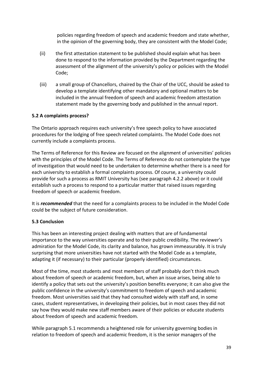policies regarding freedom of speech and academic freedom and state whether, in the opinion of the governing body, they are consistent with the Model Code;

- (ii) the first attestation statement to be published should explain what has been done to respond to the information provided by the Department regarding the assessment of the alignment of the university's policy or policies with the Model Code;
- (iii) a small group of Chancellors, chaired by the Chair of the UCC, should be asked to develop a template identifying other mandatory and optional matters to be included in the annual freedom of speech and academic freedom attestation statement made by the governing body and published in the annual report.

#### **5.2 A complaints process?**

The Ontario approach requires each university's free speech policy to have associated procedures for the lodging of free speech related complaints. The Model Code does not currently include a complaints process.

The Terms of Reference for this Review are focused on the alignment of universities' policies with the principles of the Model Code. The Terms of Reference do not contemplate the type of investigation that would need to be undertaken to determine whether there is a need for each university to establish a formal complaints process. Of course, a university could provide for such a process as RMIT University has (see paragraph 4.2.2 above) or it could establish such a process to respond to a particular matter that raised issues regarding freedom of speech or academic freedom.

It is *recommended* that the need for a complaints process to be included in the Model Code could be the subject of future consideration.

#### **5.3 Conclusion**

This has been an interesting project dealing with matters that are of fundamental importance to the way universities operate and to their public credibility. The reviewer's admiration for the Model Code, its clarity and balance, has grown immeasurably. It is truly surprising that more universities have not started with the Model Code as a template, adapting it (if necessary) to their particular (properly identified) circumstances.

Most of the time, most students and most members of staff probably don't think much about freedom of speech or academic freedom, but, when an issue arises, being able to identify a policy that sets out the university's position benefits everyone; it can also give the public confidence in the university's commitment to freedom of speech and academic freedom. Most universities said that they had consulted widely with staff and, in some cases, student representatives, in developing their policies, but in most cases they did not say how they would make new staff members aware of their policies or educate students about freedom of speech and academic freedom.

While paragraph 5.1 recommends a heightened role for university governing bodies in relation to freedom of speech and academic freedom, it is the senior managers of the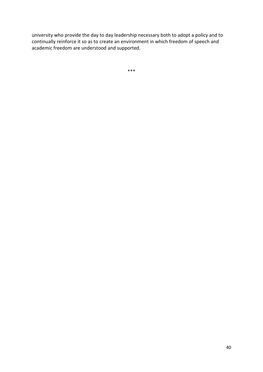university who provide the day to day leadership necessary both to adopt a policy and to continually reinforce it so as to create an environment in which freedom of speech and academic freedom are understood and supported.

\*\*\*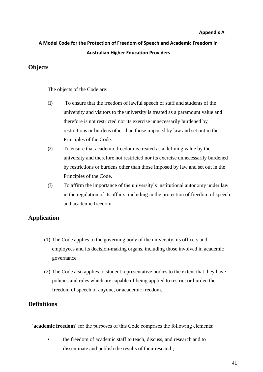#### **Appendix A**

# **A Model Code for the Protection of Freedom of Speech and Academic Freedom in Australian Higher Education Providers**

# **Objects**

The objects of the Code are:

- (1) To ensure that the freedom of lawful speech of staff and students of the university and visitors to the university is treated as a paramount value and therefore is not restricted nor its exercise unnecessarily burdened by restrictions or burdens other than those imposed by law and set out in the Principles of the Code.
- (2) To ensure that academic freedom is treated as a defining value by the university and therefore not restricted nor its exercise unnecessarily burdened by restrictions or burdens other than those imposed by law and set out in the Principles of the Code.
- (3) To affirm the importance of the university's institutional autonomy under law in the regulation of its affairs, including in the protection of freedom of speech and academic freedom.

# **Application**

- (1) The Code applies to the governing body of the university, its officers and employees and its decision-making organs, including those involved in academic governance.
- (2) The Code also applies to student representative bodies to the extent that they have policies and rules which are capable of being applied to restrict or burden the freedom of speech of anyone, or academic freedom.

# **Definitions**

'**academic freedom**' for the purposes of this Code comprises the following elements:

• the freedom of academic staff to teach, discuss, and research and to disseminate and publish the results of their research;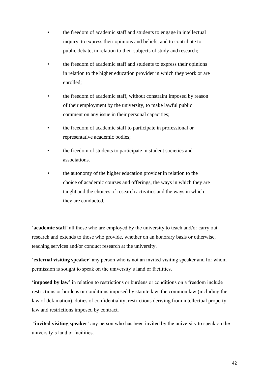- the freedom of academic staff and students to engage in intellectual inquiry, to express their opinions and beliefs, and to contribute to public debate, in relation to their subjects of study and research;
- the freedom of academic staff and students to express their opinions in relation to the higher education provider in which they work or are enrolled;
- the freedom of academic staff, without constraint imposed by reason of their employment by the university, to make lawful public comment on any issue in their personal capacities;
- the freedom of academic staff to participate in professional or representative academic bodies;
- the freedom of students to participate in student societies and associations.
- *•* the autonomy of the higher education provider in relation to the choice of academic courses and offerings, the ways in which they are taught and the choices of research activities and the ways in which they are conducted.

'**academic staff**' all those who are employed by the university to teach and/or carry out research and extends to those who provide, whether on an honorary basis or otherwise, teaching services and/or conduct research at the university.

'**external visiting speaker**' any person who is not an invited visiting speaker and for whom permission is sought to speak on the university's land or facilities.

'**imposed by law**' in relation to restrictions or burdens or conditions on a freedom include restrictions or burdens or conditions imposed by statute law, the common law (including the law of defamation), duties of confidentiality, restrictions deriving from intellectual property law and restrictions imposed by contract.

'**invited visiting speaker**' any person who has been invited by the university to speak on the university's land or facilities.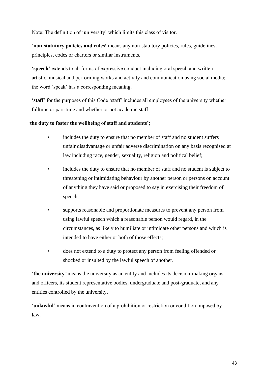Note: The definition of 'university' which limits this class of visitor.

'**non-statutory policies and rules'** means any non-statutory policies, rules, guidelines, principles, codes or charters or similar instruments.

'**speech**' extends to all forms of expressive conduct including oral speech and written, artistic, musical and performing works and activity and communication using social media; the word 'speak' has a corresponding meaning.

'**staff**' for the purposes of this Code 'staff' includes all employees of the university whether fulltime or part-time and whether or not academic staff.

#### '**the duty to foster the wellbeing of staff and students'**;

- includes the duty to ensure that no member of staff and no student suffers unfair disadvantage or unfair adverse discrimination on any basis recognised at law including race, gender, sexuality, religion and political belief;
- includes the duty to ensure that no member of staff and no student is subject to threatening or intimidating behaviour by another person or persons on account of anything they have said or proposed to say in exercising their freedom of speech;
- supports reasonable and proportionate measures to prevent any person from using lawful speech which a reasonable person would regard, in the circumstances, as likely to humiliate or intimidate other persons and which is intended to have either or both of those effects;
- does not extend to a duty to protect any person from feeling offended or shocked or insulted by the lawful speech of another.

'**the university***'* means the university as an entity and includes its decision-making organs and officers, its student representative bodies, undergraduate and post-graduate, and any entities controlled by the university.

'**unlawful**' means in contravention of a prohibition or restriction or condition imposed by law.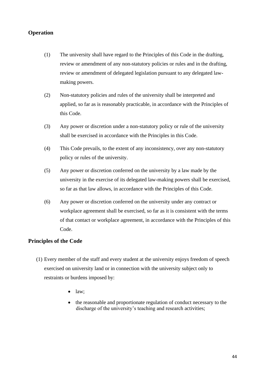# **Operation**

- (1) The university shall have regard to the Principles of this Code in the drafting, review or amendment of any non-statutory policies or rules and in the drafting, review or amendment of delegated legislation pursuant to any delegated lawmaking powers.
- (2) Non-statutory policies and rules of the university shall be interpreted and applied, so far as is reasonably practicable, in accordance with the Principles of this Code.
- (3) Any power or discretion under a non-statutory policy or rule of the university shall be exercised in accordance with the Principles in this Code.
- (4) This Code prevails, to the extent of any inconsistency, over any non-statutory policy or rules of the university.
- (5) Any power or discretion conferred on the university by a law made by the university in the exercise of its delegated law-making powers shall be exercised, so far as that law allows, in accordance with the Principles of this Code.
- (6) Any power or discretion conferred on the university under any contract or workplace agreement shall be exercised, so far as it is consistent with the terms of that contact or workplace agreement, in accordance with the Principles of this Code.

## **Principles of the Code**

- (1) Every member of the staff and every student at the university enjoys freedom of speech exercised on university land or in connection with the university subject only to restraints or burdens imposed by:
	- $\bullet$  law;
	- the reasonable and proportionate regulation of conduct necessary to the discharge of the university's teaching and research activities;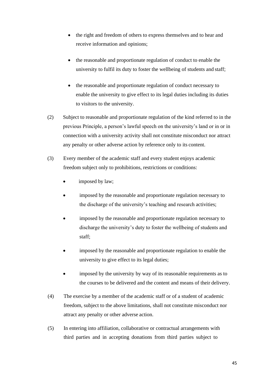- the right and freedom of others to express themselves and to hear and receive information and opinions;
- the reasonable and proportionate regulation of conduct to enable the university to fulfil its duty to foster the wellbeing of students and staff;
- the reasonable and proportionate regulation of conduct necessary to enable the university to give effect to its legal duties including its duties to visitors to the university.
- (2) Subject to reasonable and proportionate regulation of the kind referred to in the previous Principle, a person's lawful speech on the university's land or in or in connection with a university activity shall not constitute misconduct nor attract any penalty or other adverse action by reference only to its content.
- (3) Every member of the academic staff and every student enjoys academic freedom subject only to prohibitions, restrictions or conditions:
	- imposed by law;
	- imposed by the reasonable and proportionate regulation necessary to the discharge of the university's teaching and research activities;
	- imposed by the reasonable and proportionate regulation necessary to discharge the university's duty to foster the wellbeing of students and staff;
	- imposed by the reasonable and proportionate regulation to enable the university to give effect to its legal duties;
	- imposed by the university by way of its reasonable requirements as to the courses to be delivered and the content and means of their delivery.
- (4) The exercise by a member of the academic staff or of a student of academic freedom, subject to the above limitations, shall not constitute misconduct nor attract any penalty or other adverse action.
- (5) In entering into affiliation, collaborative or contractual arrangements with third parties and in accepting donations from third parties subject to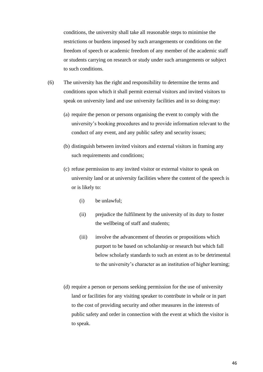conditions, the university shall take all reasonable steps to minimise the restrictions or burdens imposed by such arrangements or conditions on the freedom of speech or academic freedom of any member of the academic staff or students carrying on research or study under such arrangements or subject to such conditions.

- (6) The university has the right and responsibility to determine the terms and conditions upon which it shall permit external visitors and invited visitors to speak on university land and use university facilities and in so doing may:
	- (a) require the person or persons organising the event to comply with the university's booking procedures and to provide information relevant to the conduct of any event, and any public safety and security issues;
	- (b) distinguish between invited visitors and external visitors in framing any such requirements and conditions;
	- (c) refuse permission to any invited visitor or external visitor to speak on university land or at university facilities where the content of the speech is or is likely to:
		- (i) be unlawful;
		- (ii) prejudice the fulfilment by the university of its duty to foster the wellbeing of staff and students;
		- (iii) involve the advancement of theories or propositions which purport to be based on scholarship or research but which fall below scholarly standards to such an extent as to be detrimental to the university's character as an institution of higher learning;
	- (d) require a person or persons seeking permission for the use of university land or facilities for any visiting speaker to contribute in whole or in part to the cost of providing security and other measures in the interests of public safety and order in connection with the event at which the visitor is to speak.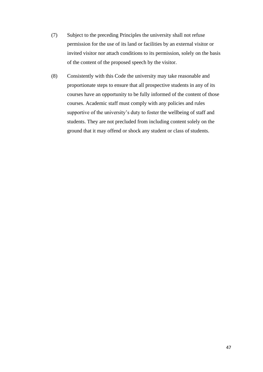- (7) Subject to the preceding Principles the university shall not refuse permission for the use of its land or facilities by an external visitor or invited visitor nor attach conditions to its permission, solely on the basis of the content of the proposed speech by the visitor.
- (8) Consistently with this Code the university may take reasonable and proportionate steps to ensure that all prospective students in any of its courses have an opportunity to be fully informed of the content of those courses. Academic staff must comply with any policies and rules supportive of the university's duty to foster the wellbeing of staff and students. They are not precluded from including content solely on the ground that it may offend or shock any student or class of students.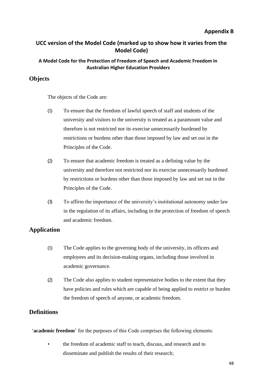#### **Appendix B**

# **UCC version of the Model Code (marked up to show how it varies from the Model Code)**

#### **A Model Code for the Protection of Freedom of Speech and Academic Freedom in Australian Higher Education Providers**

#### **Objects**

The objects of the Code are:

- (1) To ensure that the freedom of lawful speech of staff and students of the university and visitors to the university is treated as a paramount value and therefore is not restricted nor its exercise unnecessarily burdened by restrictions or burdens other than those imposed by law and set out in the Principles of the Code.
- (2) To ensure that academic freedom is treated as a defining value by the university and therefore not restricted nor its exercise unnecessarily burdened by restrictions or burdens other than those imposed by law and set out in the Principles of the Code.
- (3) To affirm the importance of the university's institutional autonomy under law in the regulation of its affairs, including in the protection of freedom of speech and academic freedom.

## **Application**

- (1) The Code applies to the governing body of the university, its officers and employees and its decision-making organs, including those involved in academic governance.
- (2) The Code also applies to student representative bodies to the extent that they have policies and rules which are capable of being applied to restrict or burden the freedom of speech of anyone, or academic freedom.

# **Definitions**

'**academic freedom**' for the purposes of this Code comprises the following elements:

• the freedom of academic staff to teach, discuss, and research and to disseminate and publish the results of their research;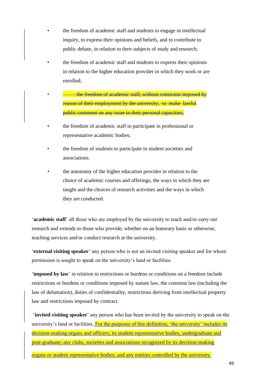- the freedom of academic staff and students to engage in intellectual inquiry, to express their opinions and beliefs, and to contribute to public debate, in relation to their subjects of study and research;
- the freedom of academic staff and students to express their opinions in relation to the higher education provider in which they work or are enrolled;
- the freedom of academic staff, without constraint imposed by reason of their employment by the university, to make lawful public comment on any issue in their personal capacities;
- the freedom of academic staff to participate in professional or representative academic bodies;
- the freedom of students to participate in student societies and associations.
- *•* the autonomy of the higher education provider in relation to the choice of academic courses and offerings, the ways in which they are taught and the choices of research activities and the ways in which they are conducted.

'**academic staff**' all those who are employed by the university to teach and/or carry out research and extends to those who provide, whether on an honorary basis or otherwise, teaching services and/or conduct research at the university.

'**external visiting speaker**' any person who is not an invited visiting speaker and for whom permission is sought to speak on the university's land or facilities.

'**imposed by law**' in relation to restrictions or burdens or conditions on a freedom include restrictions or burdens or conditions imposed by statute law, the common law (including the law of defamation), duties of confidentiality, restrictions deriving from intellectual property law and restrictions imposed by contract.

'**invited visiting speaker**' any person who has been invited by the university to speak on the university's land or facilities. For the purposes of this definition, 'the university' includes its decision-making organs and officers; its student representative bodies, undergraduate and post-graduate; any clubs, societies and associations recognized by its decision-making

organs or student representative bodies; and any entities controlled by the university.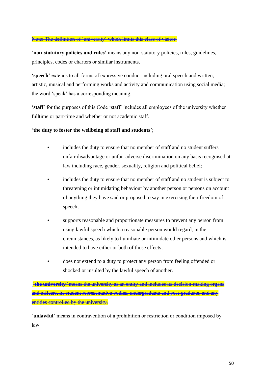#### Note: The definition of 'university' which limits this class of visitor.

'**non-statutory policies and rules'** means any non-statutory policies, rules, guidelines, principles, codes or charters or similar instruments.

'**speech**' extends to all forms of expressive conduct including oral speech and written, artistic, musical and performing works and activity and communication using social media; the word 'speak' has a corresponding meaning.

'**staff**' for the purposes of this Code 'staff' includes all employees of the university whether fulltime or part-time and whether or not academic staff.

#### '**the duty to foster the wellbeing of staff and students**';

- includes the duty to ensure that no member of staff and no student suffers unfair disadvantage or unfair adverse discrimination on any basis recognised at law including race, gender, sexuality, religion and political belief;
- includes the duty to ensure that no member of staff and no student is subject to threatening or intimidating behaviour by another person or persons on account of anything they have said or proposed to say in exercising their freedom of speech;
- supports reasonable and proportionate measures to prevent any person from using lawful speech which a reasonable person would regard, in the circumstances, as likely to humiliate or intimidate other persons and which is intended to have either or both of those effects;
- does not extend to a duty to protect any person from feeling offended or shocked or insulted by the lawful speech of another.

'**the university***'* means the university as an entity and includes its decision-making organs and officers, its student representative bodies, undergraduate and post-graduate, and any entities controlled by the university.

'**unlawful**' means in contravention of a prohibition or restriction or condition imposed by law.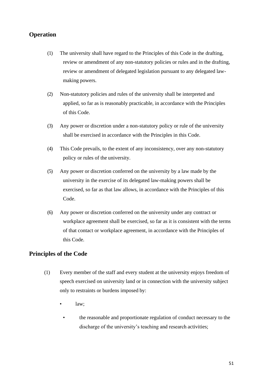# **Operation**

- (1) The university shall have regard to the Principles of this Code in the drafting, review or amendment of any non-statutory policies or rules and in the drafting, review or amendment of delegated legislation pursuant to any delegated lawmaking powers.
- (2) Non-statutory policies and rules of the university shall be interpreted and applied, so far as is reasonably practicable, in accordance with the Principles of this Code.
- (3) Any power or discretion under a non-statutory policy or rule of the university shall be exercised in accordance with the Principles in this Code.
- (4) This Code prevails, to the extent of any inconsistency, over any non-statutory policy or rules of the university.
- (5) Any power or discretion conferred on the university by a law made by the university in the exercise of its delegated law-making powers shall be exercised, so far as that law allows, in accordance with the Principles of this Code.
- (6) Any power or discretion conferred on the university under any contract or workplace agreement shall be exercised, so far as it is consistent with the terms of that contact or workplace agreement, in accordance with the Principles of this Code.

# **Principles of the Code**

- (1) Every member of the staff and every student at the university enjoys freedom of speech exercised on university land or in connection with the university subject only to restraints or burdens imposed by:
	- law;
	- the reasonable and proportionate regulation of conduct necessary to the discharge of the university's teaching and research activities;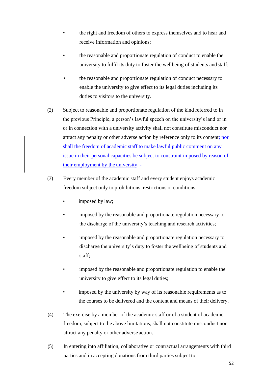- the right and freedom of others to express themselves and to hear and receive information and opinions;
- the reasonable and proportionate regulation of conduct to enable the university to fulfil its duty to foster the wellbeing of students and staff;
- the reasonable and proportionate regulation of conduct necessary to enable the university to give effect to its legal duties including its duties to visitors to the university.
- (2) Subject to reasonable and proportionate regulation of the kind referred to in the previous Principle, a person's lawful speech on the university's land or in or in connection with a university activity shall not constitute misconduct nor attract any penalty or other adverse action by reference only to its content; nor shall the freedom of academic staff to make lawful public comment on any issue in their personal capacities be subject to constraint imposed by reason of their employment by the university.
- (3) Every member of the academic staff and every student enjoys academic freedom subject only to prohibitions, restrictions or conditions:
	- imposed by law;
	- imposed by the reasonable and proportionate regulation necessary to the discharge of the university's teaching and research activities;
	- imposed by the reasonable and proportionate regulation necessary to discharge the university's duty to foster the wellbeing of students and staff;
	- imposed by the reasonable and proportionate regulation to enable the university to give effect to its legal duties;
	- imposed by the university by way of its reasonable requirements as to the courses to be delivered and the content and means of their delivery.
- (4) The exercise by a member of the academic staff or of a student of academic freedom, subject to the above limitations, shall not constitute misconduct nor attract any penalty or other adverse action.
- (5) In entering into affiliation, collaborative or contractual arrangements with third parties and in accepting donations from third parties subject to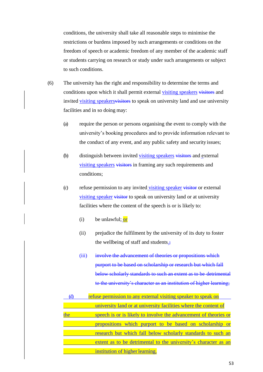conditions, the university shall take all reasonable steps to minimise the restrictions or burdens imposed by such arrangements or conditions on the freedom of speech or academic freedom of any member of the academic staff or students carrying on research or study under such arrangements or subject to such conditions.

- (6) The university has the right and responsibility to determine the terms and conditions upon which it shall permit external visiting speakers visitors and invited visiting speakers visitors to speak on university land and use university facilities and in so doing may:
	- (a) require the person or persons organising the event to comply with the university's booking procedures and to provide information relevant to the conduct of any event, and any public safety and security issues;
	- (b) distinguish between invited visiting speakers visitors and external visiting speakers visitors in framing any such requirements and conditions;
	- (c) refuse permission to any invited visiting speaker visitor or external visiting speaker visitor to speak on university land or at university facilities where the content of the speech is or is likely to:
		- (i) be unlawful;  $or$
		- (ii) prejudice the fulfilment by the university of its duty to foster the wellbeing of staff and students $\frac{1}{2}$
		- (iii) involve the advancement of theories or propositions which purport to be based on scholarship or research but which fall below scholarly standards to such an extent as to be detrimental to the university's character as an institution of higher learning;

|     | refuse permission to any external visiting speaker to speak on   |
|-----|------------------------------------------------------------------|
|     | university land or at university facilities where the content of |
| the | speech is or is likely to involve the advancement of theories or |
|     | propositions which purport to be based on scholarship or         |
|     | research but which fall below scholarly standards to such an     |
|     | extent as to be detrimental to the university's character as an  |
|     | institution of higher learning.                                  |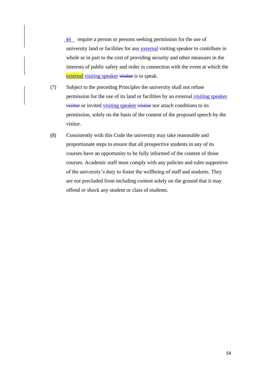(e) require a person or persons seeking permission for the use of university land or facilities for any external visiting speaker to contribute in whole or in part to the cost of providing security and other measures in the interests of public safety and order in connection with the event at which the external visiting speaker visitor is to speak.

- (7) Subject to the preceding Principles the university shall not refuse permission for the use of its land or facilities by an external visiting speaker visitor or invited visiting speaker visitor nor attach conditions to its permission, solely on the basis of the content of the proposed speech by the visitor.
- (8) Consistently with this Code the university may take reasonable and proportionate steps to ensure that all prospective students in any of its courses have an opportunity to be fully informed of the content of those courses. Academic staff must comply with any policies and rules supportive of the university's duty to foster the wellbeing of staff and students. They are not precluded from including content solely on the ground that it may offend or shock any student or class of students.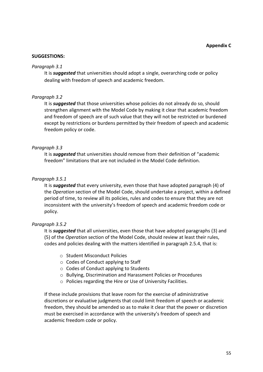#### **SUGGESTIONS:**

#### *Paragraph 3.1*

It is *suggested* that universities should adopt a single, overarching code or policy dealing with freedom of speech and academic freedom.

#### *Paragraph 3.2*

It is *suggested* that those universities whose policies do not already do so, should strengthen alignment with the Model Code by making it clear that academic freedom and freedom of speech are of such value that they will not be restricted or burdened except by restrictions or burdens permitted by their freedom of speech and academic freedom policy or code.

#### *Paragraph 3.3*

It is *suggested* that universities should remove from their definition of "academic freedom" limitations that are not included in the Model Code definition.

#### *Paragraph 3.5.1*

It is *suggested* that every university, even those that have adopted paragraph (4) of the *Operation* section of the Model Code, should undertake a project, within a defined period of time, to review all its policies, rules and codes to ensure that they are not inconsistent with the university's freedom of speech and academic freedom code or policy.

#### *Paragraph 3.5.2*

It is *suggested* that all universities, even those that have adopted paragraphs (3) and (5) of the *Operation* section of the Model Code, should review at least their rules, codes and policies dealing with the matters identified in paragraph 2.5.4, that is:

- o Student Misconduct Policies
- o Codes of Conduct applying to Staff
- o Codes of Conduct applying to Students
- o Bullying, Discrimination and Harassment Policies or Procedures
- o Policies regarding the Hire or Use of University Facilities.

If these include provisions that leave room for the exercise of administrative discretions or evaluative judgments that could limit freedom of speech or academic freedom, they should be amended so as to make it clear that the power or discretion must be exercised in accordance with the university's freedom of speech and academic freedom code or policy.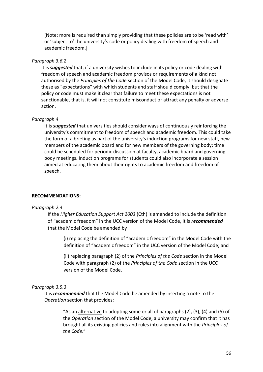[Note: more is required than simply providing that these policies are to be 'read with' or 'subject to' the university's code or policy dealing with freedom of speech and academic freedom.]

#### *Paragraph 3.6.2*

It is *suggested* that, if a university wishes to include in its policy or code dealing with freedom of speech and academic freedom provisos or requirements of a kind not authorised by the *Principles of the Code* section of the Model Code, it should designate these as "expectations" with which students and staff should comply, but that the policy or code must make it clear that failure to meet these expectations is not sanctionable, that is, it will not constitute misconduct or attract any penalty or adverse action.

#### *Paragraph 4*

It is *suggested* that universities should consider ways of continuously reinforcing the university's commitment to freedom of speech and academic freedom. This could take the form of a briefing as part of the university's induction programs for new staff, new members of the academic board and for new members of the governing body; time could be scheduled for periodic discussion at faculty, academic board and governing body meetings. Induction programs for students could also incorporate a session aimed at educating them about their rights to academic freedom and freedom of speech.

#### **RECOMMENDATIONS:**

#### *Paragraph 2.4*

If the *Higher Education Support Act 2003* (Cth) is amended to include the definition of "academic freedom" in the UCC version of the Model Code, it is *recommended* that the Model Code be amended by

(i) replacing the definition of "academic freedom" in the Model Code with the definition of "academic freedom" in the UCC version of the Model Code; and

(ii) replacing paragraph (2) of the *Principles of the Code* section in the Model Code with paragraph (2) of the *Principles of the Code* section in the UCC version of the Model Code.

#### *Paragraph 3.5.3*

It is *recommended* that the Model Code be amended by inserting a note to the *Operation* section that provides:

> "As an alternative to adopting some or all of paragraphs (2), (3), (4) and (5) of the *Operation* section of the Model Code, a university may confirm that it has brought all its existing policies and rules into alignment with the *Principles of the Code*."